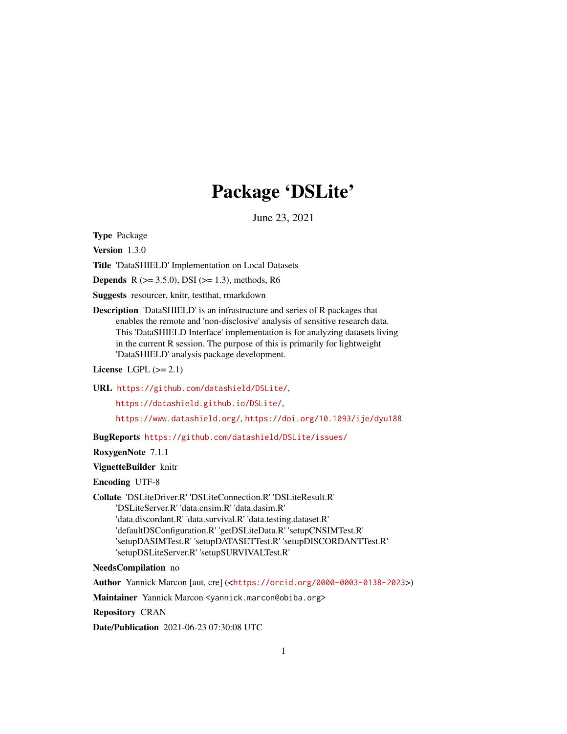## Package 'DSLite'

June 23, 2021

<span id="page-0-0"></span>Type Package

Version 1.3.0

Title 'DataSHIELD' Implementation on Local Datasets

**Depends** R ( $>= 3.5.0$ ), DSI ( $>= 1.3$ ), methods, R6

Suggests resourcer, knitr, testthat, rmarkdown

Description 'DataSHIELD' is an infrastructure and series of R packages that enables the remote and 'non-disclosive' analysis of sensitive research data. This 'DataSHIELD Interface' implementation is for analyzing datasets living in the current R session. The purpose of this is primarily for lightweight 'DataSHIELD' analysis package development.

License LGPL  $(>= 2.1)$ 

URL <https://github.com/datashield/DSLite/>,

<https://datashield.github.io/DSLite/>,

<https://www.datashield.org/>, <https://doi.org/10.1093/ije/dyu188>

BugReports <https://github.com/datashield/DSLite/issues/>

RoxygenNote 7.1.1

VignetteBuilder knitr

Encoding UTF-8

Collate 'DSLiteDriver.R' 'DSLiteConnection.R' 'DSLiteResult.R' 'DSLiteServer.R' 'data.cnsim.R' 'data.dasim.R' 'data.discordant.R' 'data.survival.R' 'data.testing.dataset.R' 'defaultDSConfiguration.R' 'getDSLiteData.R' 'setupCNSIMTest.R' 'setupDASIMTest.R' 'setupDATASETTest.R' 'setupDISCORDANTTest.R' 'setupDSLiteServer.R' 'setupSURVIVALTest.R'

NeedsCompilation no

Author Yannick Marcon [aut, cre] (<<https://orcid.org/0000-0003-0138-2023>>)

Maintainer Yannick Marcon <yannick.marcon@obiba.org>

Repository CRAN

Date/Publication 2021-06-23 07:30:08 UTC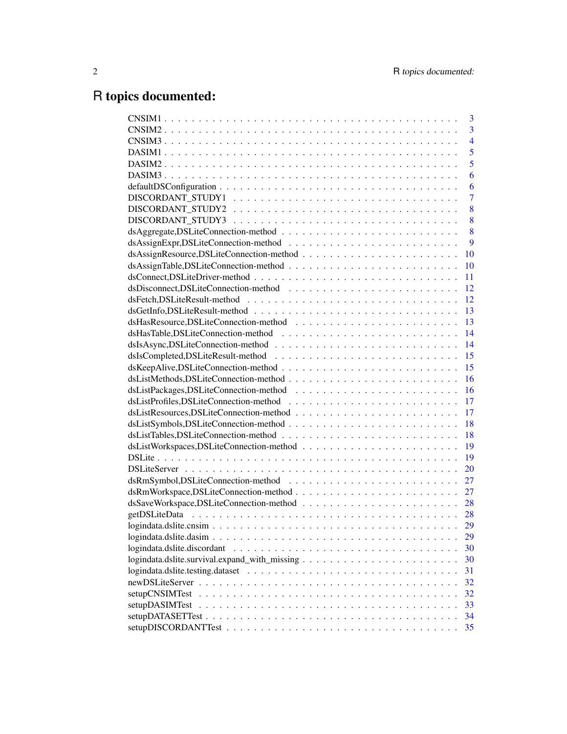# R topics documented:

|                                                                                                                         | 3                       |
|-------------------------------------------------------------------------------------------------------------------------|-------------------------|
|                                                                                                                         | $\overline{\mathbf{3}}$ |
|                                                                                                                         | $\overline{4}$          |
|                                                                                                                         | 5                       |
|                                                                                                                         | 5                       |
|                                                                                                                         | 6                       |
|                                                                                                                         | 6                       |
|                                                                                                                         | $\overline{7}$          |
| $DISCORDANT_S TUDY2 \ldots \ldots \ldots \ldots \ldots \ldots \ldots \ldots \ldots \ldots \ldots$                       | 8                       |
|                                                                                                                         | 8                       |
|                                                                                                                         | 8                       |
|                                                                                                                         | 9                       |
|                                                                                                                         | 10                      |
|                                                                                                                         | 10                      |
|                                                                                                                         | 11                      |
|                                                                                                                         | 12                      |
|                                                                                                                         | 12                      |
|                                                                                                                         | 13                      |
|                                                                                                                         | 13                      |
|                                                                                                                         | 14                      |
|                                                                                                                         | 14                      |
| dsIsCompleted,DSLiteResult-method                                                                                       | 15                      |
|                                                                                                                         | 15                      |
|                                                                                                                         | 16                      |
|                                                                                                                         | 16                      |
|                                                                                                                         | 17                      |
|                                                                                                                         | 17                      |
|                                                                                                                         | 18                      |
|                                                                                                                         | 18                      |
|                                                                                                                         | 19                      |
|                                                                                                                         | 19                      |
|                                                                                                                         | 20                      |
|                                                                                                                         | 27                      |
|                                                                                                                         | 27                      |
|                                                                                                                         | 28                      |
|                                                                                                                         | 28                      |
|                                                                                                                         | 29                      |
|                                                                                                                         | 29                      |
| logindata.dslite.discordant                                                                                             | 30                      |
|                                                                                                                         | 30                      |
| $logindata.dslite. testing.dataset \dots \dots \dots \dots \dots \dots \dots \dots \dots \dots \dots \dots \dots \dots$ | 31                      |
|                                                                                                                         | 32                      |
| setupCNSIMTest                                                                                                          | 32                      |
|                                                                                                                         | 33                      |
|                                                                                                                         | 34                      |
|                                                                                                                         | 35                      |
|                                                                                                                         |                         |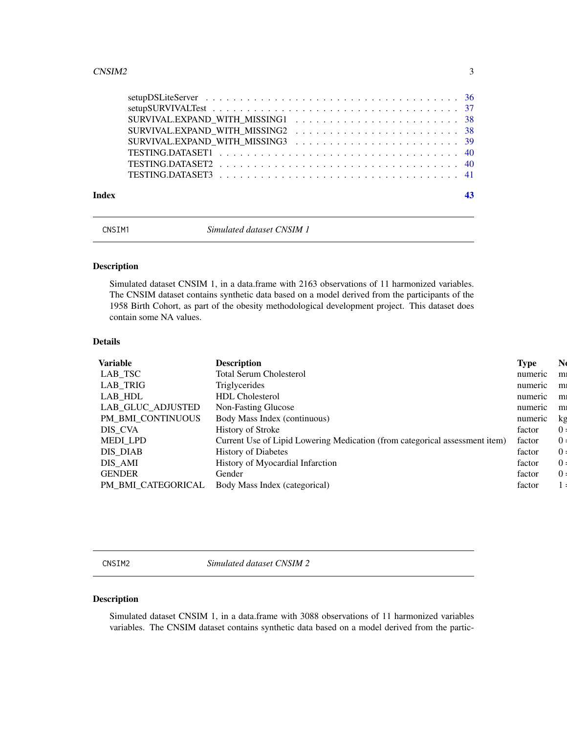#### <span id="page-2-0"></span> $\sim$   $\sim$  3

#### **Index** [43](#page-42-0)

CNSIM1 *Simulated dataset CNSIM 1*

## Description

Simulated dataset CNSIM 1, in a data.frame with 2163 observations of 11 harmonized variables. The CNSIM dataset contains synthetic data based on a model derived from the participants of the 1958 Birth Cohort, as part of the obesity methodological development project. This dataset does contain some NA values.

## Details

| <b>Variable</b>          | <b>Description</b>                                                          | Type       | N                |
|--------------------------|-----------------------------------------------------------------------------|------------|------------------|
| LAB_TSC                  | <b>Total Serum Cholesterol</b>                                              | numeric    | m <sub>1</sub>   |
| LAB_TRIG                 | Triglycerides                                                               | numeric m  |                  |
| LAB_HDL                  | <b>HDL</b> Cholesterol                                                      | numeric m  |                  |
| LAB_GLUC_ADJUSTED        | Non-Fasting Glucose                                                         | numeric m  |                  |
| <b>PM_BMI_CONTINUOUS</b> | Body Mass Index (continuous)                                                | numeric kg |                  |
| DIS_CVA                  | <b>History of Stroke</b>                                                    | factor     |                  |
| MEDI_LPD                 | Current Use of Lipid Lowering Medication (from categorical assessment item) | factor     | $\overline{0}$ : |
| DIS_DIAB                 | <b>History of Diabetes</b>                                                  | factor     | $\left( \right)$ |
| DIS_AMI                  | History of Myocardial Infarction                                            | factor     |                  |
| GENDER                   | Gender                                                                      | factor     |                  |
| PM_BMI_CATEGORICAL       | Body Mass Index (categorical)                                               | factor     |                  |
|                          |                                                                             |            |                  |

CNSIM2 *Simulated dataset CNSIM 2*

## Description

Simulated dataset CNSIM 1, in a data.frame with 3088 observations of 11 harmonized variables variables. The CNSIM dataset contains synthetic data based on a model derived from the partic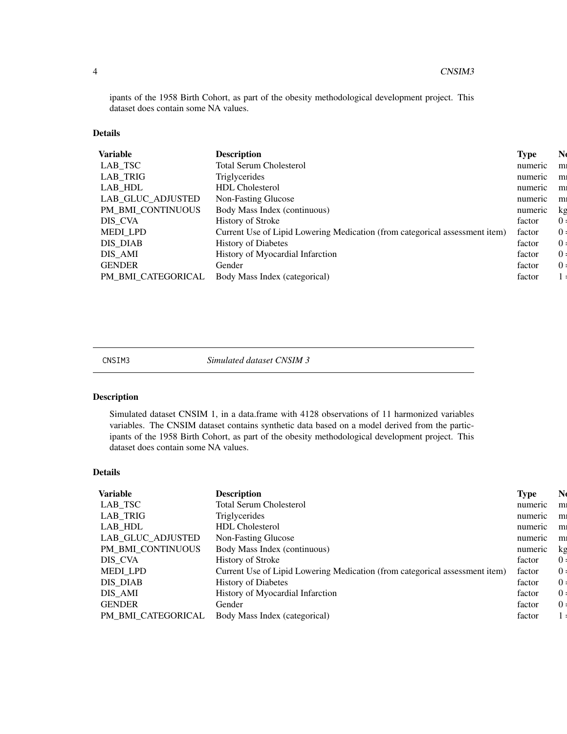4 CNSIM3

ipants of the 1958 Birth Cohort, as part of the obesity methodological development project. This dataset does contain some NA values.

### Details

| <b>Variable</b>          | <b>Description</b>                                                          | <b>Type</b> | N |
|--------------------------|-----------------------------------------------------------------------------|-------------|---|
| LAB_TSC                  | <b>Total Serum Cholesterol</b>                                              | numeric m   |   |
| LAB_TRIG                 | Triglycerides                                                               | numeric m   |   |
| LAB_HDL                  | <b>HDL</b> Cholesterol                                                      | numeric m   |   |
| LAB_GLUC_ADJUSTED        | Non-Fasting Glucose                                                         | numeric m   |   |
| <b>PM_BMI_CONTINUOUS</b> | Body Mass Index (continuous)                                                | numeric kg  |   |
| DIS CVA                  | <b>History of Stroke</b>                                                    | factor      |   |
| MEDI_LPD                 | Current Use of Lipid Lowering Medication (from categorical assessment item) | factor      |   |
| DIS_DIAB                 | <b>History of Diabetes</b>                                                  | factor      |   |
| DIS_AMI                  | History of Myocardial Infarction                                            | factor      |   |
| <b>GENDER</b>            | Gender                                                                      | factor      |   |
| PM BMI CATEGORICAL       | Body Mass Index (categorical)                                               | factor      |   |

CNSIM3 *Simulated dataset CNSIM 3*

## Description

Simulated dataset CNSIM 1, in a data.frame with 4128 observations of 11 harmonized variables variables. The CNSIM dataset contains synthetic data based on a model derived from the participants of the 1958 Birth Cohort, as part of the obesity methodological development project. This dataset does contain some NA values.

#### Details

| <b>Variable</b>    | <b>Description</b>                                                          | Type    | N  |
|--------------------|-----------------------------------------------------------------------------|---------|----|
| LAB_TSC            | <b>Total Serum Cholesterol</b>                                              | numeric | m  |
| LAB_TRIG           | Triglycerides                                                               | numeric | m  |
| LAB_HDL            | <b>HDL</b> Cholesterol                                                      | numeric | m  |
| LAB_GLUC_ADJUSTED  | Non-Fasting Glucose                                                         | numeric | m  |
| PM_BMI_CONTINUOUS  | Body Mass Index (continuous)                                                | numeric | kg |
| DIS CVA            | <b>History of Stroke</b>                                                    | factor  |    |
| MEDI_LPD           | Current Use of Lipid Lowering Medication (from categorical assessment item) | factor  |    |
| DIS_DIAB           | <b>History of Diabetes</b>                                                  | factor  |    |
| DIS_AMI            | History of Myocardial Infarction                                            | factor  |    |
| <b>GENDER</b>      | Gender                                                                      | factor  |    |
| PM BMI CATEGORICAL | Body Mass Index (categorical)                                               | factor  |    |

<span id="page-3-0"></span>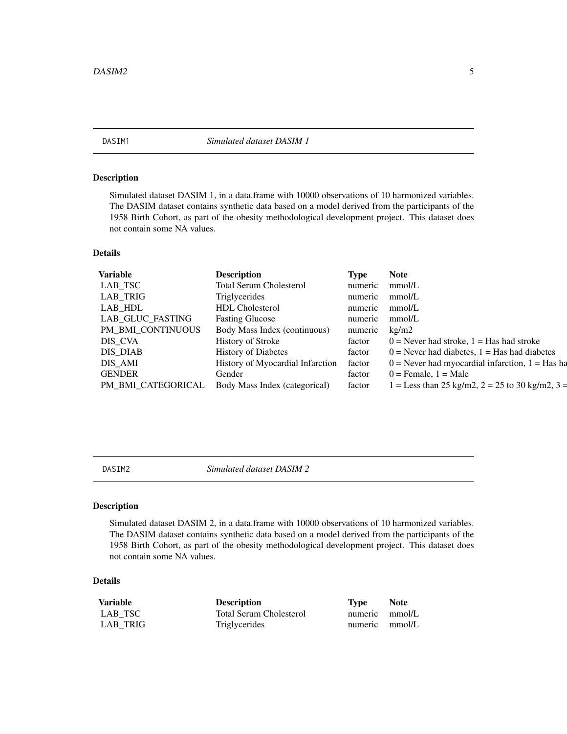<span id="page-4-0"></span>

### Description

Simulated dataset DASIM 1, in a data.frame with 10000 observations of 10 harmonized variables. The DASIM dataset contains synthetic data based on a model derived from the participants of the 1958 Birth Cohort, as part of the obesity methodological development project. This dataset does not contain some NA values.

#### Details

| <b>Variable</b>    | <b>Description</b>               | Type    | <b>Note</b>                                         |
|--------------------|----------------------------------|---------|-----------------------------------------------------|
| LAB_TSC            | <b>Total Serum Cholesterol</b>   | numeric | mmol/L                                              |
| LAB TRIG           | Triglycerides                    | numeric | mmol/L                                              |
| LAB_HDL            | <b>HDL</b> Cholesterol           | numeric | mmol/L                                              |
| LAB_GLUC_FASTING   | <b>Fasting Glucose</b>           | numeric | mmol/L                                              |
| PM BMI CONTINUOUS  | Body Mass Index (continuous)     | numeric | kg/m2                                               |
| DIS_CVA            | <b>History of Stroke</b>         | factor  | $0$ = Never had stroke, $1$ = Has had stroke        |
| DIS DIAB           | <b>History of Diabetes</b>       | factor  | $0 =$ Never had diabetes, $1 =$ Has had diabetes    |
| DIS AMI            | History of Myocardial Infarction | factor  | $0$ = Never had myocardial infarction, $1$ = Has ha |
| <b>GENDER</b>      | Gender                           | factor  | $0$ = Female, $1$ = Male                            |
| PM BMI CATEGORICAL | Body Mass Index (categorical)    | factor  | 1 = Less than 25 kg/m2, 2 = 25 to 30 kg/m2, 3 =     |
|                    |                                  |         |                                                     |

DASIM2 *Simulated dataset DASIM 2*

#### Description

Simulated dataset DASIM 2, in a data.frame with 10000 observations of 10 harmonized variables. The DASIM dataset contains synthetic data based on a model derived from the participants of the 1958 Birth Cohort, as part of the obesity methodological development project. This dataset does not contain some NA values.

## Details

| Variable | <b>Description</b>             | Type           | <b>Note</b> |
|----------|--------------------------------|----------------|-------------|
| LAB TSC  | <b>Total Serum Cholesterol</b> | numeric mmol/L |             |
| LAB TRIG | Triglycerides                  | numeric mmol/L |             |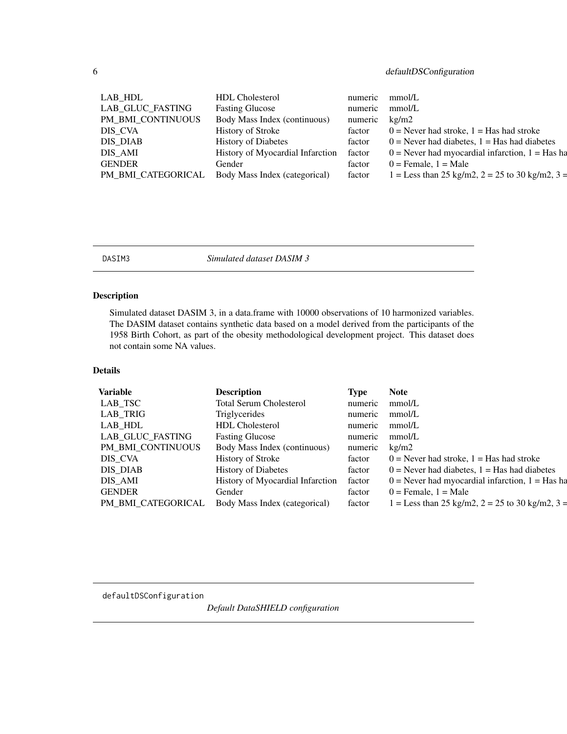<span id="page-5-0"></span>

| LAB HDL                  | <b>HDL</b> Cholesterol           | numeric | mmol/L                                              |
|--------------------------|----------------------------------|---------|-----------------------------------------------------|
| LAB GLUC FASTING         | <b>Fasting Glucose</b>           | numeric | mmol/L                                              |
| <b>PM_BMI_CONTINUOUS</b> | Body Mass Index (continuous)     | numeric | kg/m2                                               |
| DIS CVA                  | <b>History of Stroke</b>         | factor  | $0$ = Never had stroke, 1 = Has had stroke          |
| DIS DIAB                 | <b>History of Diabetes</b>       | factor  | $0 =$ Never had diabetes, $1 =$ Has had diabetes    |
| DIS AMI                  | History of Myocardial Infarction | factor  | $0 =$ Never had myocardial infarction, $1 =$ Has ha |
| <b>GENDER</b>            | Gender                           | factor  | $0$ = Female, $1$ = Male                            |
| PM_BMI_CATEGORICAL       | Body Mass Index (categorical)    | factor  | 1 = Less than 25 kg/m2, 2 = 25 to 30 kg/m2, 3 =     |
|                          |                                  |         |                                                     |

DASIM3 *Simulated dataset DASIM 3*

### Description

Simulated dataset DASIM 3, in a data.frame with 10000 observations of 10 harmonized variables. The DASIM dataset contains synthetic data based on a model derived from the participants of the 1958 Birth Cohort, as part of the obesity methodological development project. This dataset does not contain some NA values.

## Details

| Variable           | <b>Description</b>               | Type    | <b>Note</b>                                         |
|--------------------|----------------------------------|---------|-----------------------------------------------------|
| LAB TSC            | <b>Total Serum Cholesterol</b>   | numeric | mmol/L                                              |
| LAB TRIG           | Triglycerides                    | numeric | mmol/L                                              |
| LAB HDL            | <b>HDL</b> Cholesterol           | numeric | mmol/L                                              |
| LAB GLUC FASTING   | <b>Fasting Glucose</b>           | numeric | mmol/L                                              |
| PM BMI CONTINUOUS  | Body Mass Index (continuous)     | numeric | kg/m2                                               |
| DIS CVA            | <b>History of Stroke</b>         | factor  | $0$ = Never had stroke, $1$ = Has had stroke        |
| DIS DIAB           | <b>History of Diabetes</b>       | factor  | $0 =$ Never had diabetes, $1 =$ Has had diabetes    |
| DIS AMI            | History of Myocardial Infarction | factor  | $0$ = Never had myocardial infarction, $1$ = Has ha |
| <b>GENDER</b>      | Gender                           | factor  | $0 =$ Female, $1 =$ Male                            |
| PM BMI CATEGORICAL | Body Mass Index (categorical)    | factor  | 1 = Less than 25 kg/m2, 2 = 25 to 30 kg/m2, 3 =     |

<span id="page-5-1"></span>defaultDSConfiguration

*Default DataSHIELD configuration*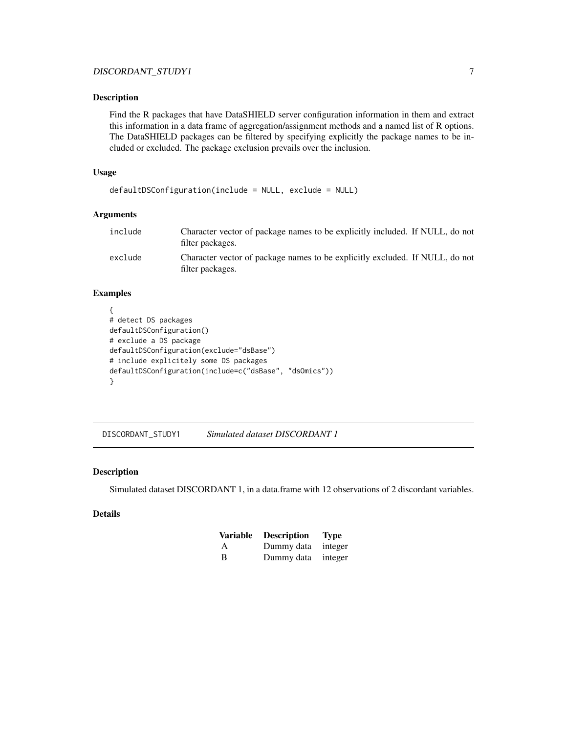## <span id="page-6-0"></span>Description

Find the R packages that have DataSHIELD server configuration information in them and extract this information in a data frame of aggregation/assignment methods and a named list of R options. The DataSHIELD packages can be filtered by specifying explicitly the package names to be included or excluded. The package exclusion prevails over the inclusion.

#### Usage

```
defaultDSConfiguration(include = NULL, exclude = NULL)
```
#### Arguments

| include | Character vector of package names to be explicitly included. If NULL, do not<br>filter packages. |
|---------|--------------------------------------------------------------------------------------------------|
| exclude | Character vector of package names to be explicitly excluded. If NULL, do not<br>filter packages. |

#### Examples

```
{
# detect DS packages
defaultDSConfiguration()
# exclude a DS package
defaultDSConfiguration(exclude="dsBase")
# include explicitely some DS packages
defaultDSConfiguration(include=c("dsBase", "dsOmics"))
}
```
DISCORDANT\_STUDY1 *Simulated dataset DISCORDANT 1*

#### Description

Simulated dataset DISCORDANT 1, in a data.frame with 12 observations of 2 discordant variables.

#### Details

| Variable | <b>Description</b> | <b>Type</b> |
|----------|--------------------|-------------|
| A        | Dummy data         | integer     |
| B        | Dummy data         | integer     |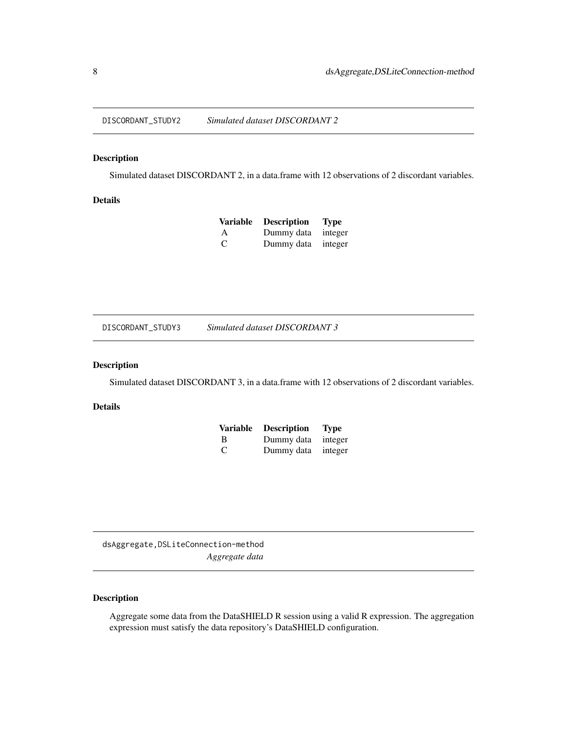<span id="page-7-0"></span>DISCORDANT\_STUDY2 *Simulated dataset DISCORDANT 2*

## Description

Simulated dataset DISCORDANT 2, in a data.frame with 12 observations of 2 discordant variables.

## Details

| <b>Variable</b> | <b>Description</b> | <b>Type</b> |
|-----------------|--------------------|-------------|
| A               | Dummy data         | integer     |
| C               | Dummy data         | integer     |

DISCORDANT\_STUDY3 *Simulated dataset DISCORDANT 3*

#### Description

Simulated dataset DISCORDANT 3, in a data.frame with 12 observations of 2 discordant variables.

#### Details

| Variable | <b>Description</b> | <b>Type</b> |
|----------|--------------------|-------------|
| B        | Dummy data         | integer     |
| C        | Dummy data         | integer     |

dsAggregate,DSLiteConnection-method *Aggregate data*

## Description

Aggregate some data from the DataSHIELD R session using a valid R expression. The aggregation expression must satisfy the data repository's DataSHIELD configuration.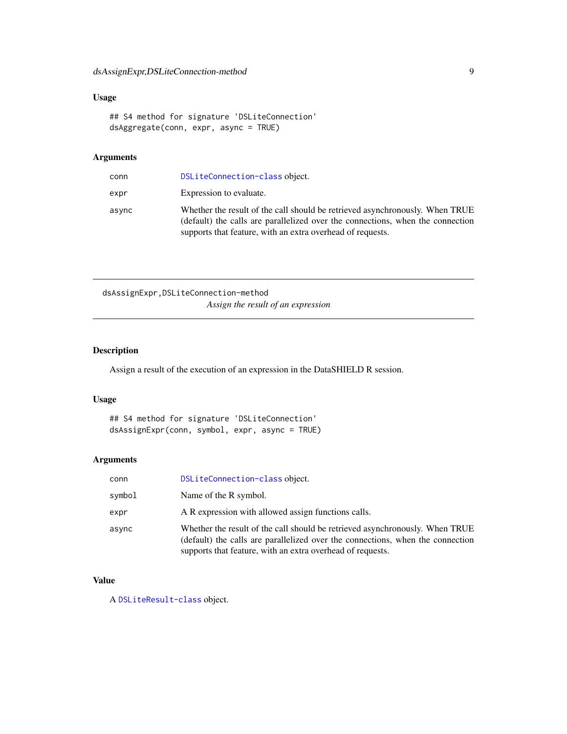## <span id="page-8-0"></span>Usage

```
## S4 method for signature 'DSLiteConnection'
dsAggregate(conn, expr, async = TRUE)
```
### Arguments

| conn  | DSLiteConnection-class object.                                                                                                                                                                                               |
|-------|------------------------------------------------------------------------------------------------------------------------------------------------------------------------------------------------------------------------------|
| expr  | Expression to evaluate.                                                                                                                                                                                                      |
| async | Whether the result of the call should be retrieved asynchronously. When TRUE<br>(default) the calls are parallelized over the connections, when the connection<br>supports that feature, with an extra overhead of requests. |

dsAssignExpr,DSLiteConnection-method *Assign the result of an expression*

### Description

Assign a result of the execution of an expression in the DataSHIELD R session.

#### Usage

## S4 method for signature 'DSLiteConnection' dsAssignExpr(conn, symbol, expr, async = TRUE)

## Arguments

| conn   | DSLiteConnection-class object.                                                                                                                                                                                               |
|--------|------------------------------------------------------------------------------------------------------------------------------------------------------------------------------------------------------------------------------|
| symbol | Name of the R symbol.                                                                                                                                                                                                        |
| expr   | A R expression with allowed assign functions calls.                                                                                                                                                                          |
| async  | Whether the result of the call should be retrieved asynchronously. When TRUE<br>(default) the calls are parallelized over the connections, when the connection<br>supports that feature, with an extra overhead of requests. |

### Value

A [DSLiteResult-class](#page-0-0) object.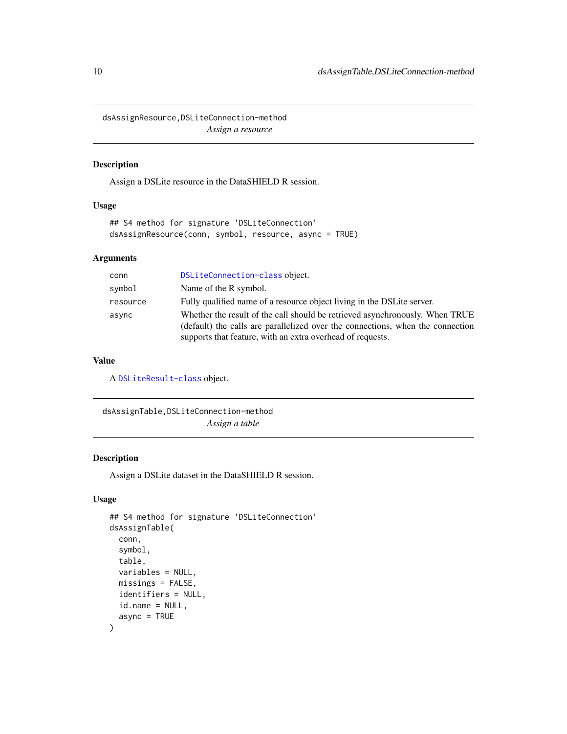<span id="page-9-0"></span>dsAssignResource,DSLiteConnection-method *Assign a resource*

#### Description

Assign a DSLite resource in the DataSHIELD R session.

#### Usage

```
## S4 method for signature 'DSLiteConnection'
dsAssignResource(conn, symbol, resource, async = TRUE)
```
## Arguments

| conn     | DSLiteConnection-class object.                                                                                                                                                                                               |
|----------|------------------------------------------------------------------------------------------------------------------------------------------------------------------------------------------------------------------------------|
| symbol   | Name of the R symbol.                                                                                                                                                                                                        |
| resource | Fully qualified name of a resource object living in the DSL te server.                                                                                                                                                       |
| async    | Whether the result of the call should be retrieved asynchronously. When TRUE<br>(default) the calls are parallelized over the connections, when the connection<br>supports that feature, with an extra overhead of requests. |

#### Value

A [DSLiteResult-class](#page-0-0) object.

dsAssignTable,DSLiteConnection-method *Assign a table*

## Description

Assign a DSLite dataset in the DataSHIELD R session.

### Usage

```
## S4 method for signature 'DSLiteConnection'
dsAssignTable(
  conn,
  symbol,
  table,
  variables = NULL,
 missings = FALSE,
  identifiers = NULL,
  id.name = NULL,
  async = TRUE)
```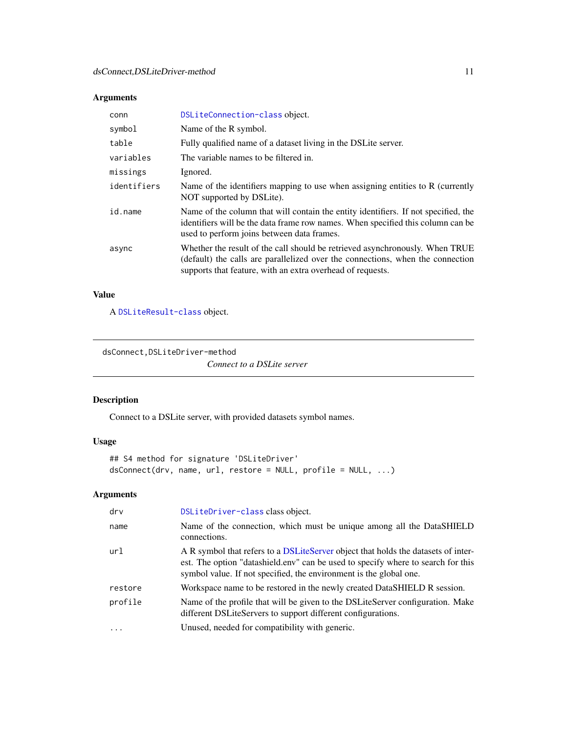## <span id="page-10-0"></span>Arguments

| conn        | DSLiteConnection-class object.                                                                                                                                                                                               |
|-------------|------------------------------------------------------------------------------------------------------------------------------------------------------------------------------------------------------------------------------|
| symbol      | Name of the R symbol.                                                                                                                                                                                                        |
| table       | Fully qualified name of a dataset living in the DSLite server.                                                                                                                                                               |
| variables   | The variable names to be filtered in.                                                                                                                                                                                        |
| missings    | Ignored.                                                                                                                                                                                                                     |
| identifiers | Name of the identifiers mapping to use when assigning entities to R (currently<br>NOT supported by DSLite).                                                                                                                  |
| id.name     | Name of the column that will contain the entity identifiers. If not specified, the<br>identifiers will be the data frame row names. When specified this column can be<br>used to perform joins between data frames.          |
| async       | Whether the result of the call should be retrieved asynchronously. When TRUE<br>(default) the calls are parallelized over the connections, when the connection<br>supports that feature, with an extra overhead of requests. |

## Value

A [DSLiteResult-class](#page-0-0) object.

dsConnect,DSLiteDriver-method

*Connect to a DSLite server*

## Description

Connect to a DSLite server, with provided datasets symbol names.

#### Usage

```
## S4 method for signature 'DSLiteDriver'
dsConnect(drv, name, url, restore = NULL, profile = NULL, ...)
```
## Arguments

| drv       | DSLiteDriver-class class object.                                                                                                                                                                                                            |
|-----------|---------------------------------------------------------------------------------------------------------------------------------------------------------------------------------------------------------------------------------------------|
| name      | Name of the connection, which must be unique among all the DataSHIELD<br>connections.                                                                                                                                                       |
| url       | A R symbol that refers to a DSLiteServer object that holds the datasets of inter-<br>est. The option "datashield.env" can be used to specify where to search for this<br>symbol value. If not specified, the environment is the global one. |
| restore   | Workspace name to be restored in the newly created DataSHIELD R session.                                                                                                                                                                    |
| profile   | Name of the profile that will be given to the DSL test configuration. Make<br>different DSLiteServers to support different configurations.                                                                                                  |
| $\ddotsc$ | Unused, needed for compatibility with generic.                                                                                                                                                                                              |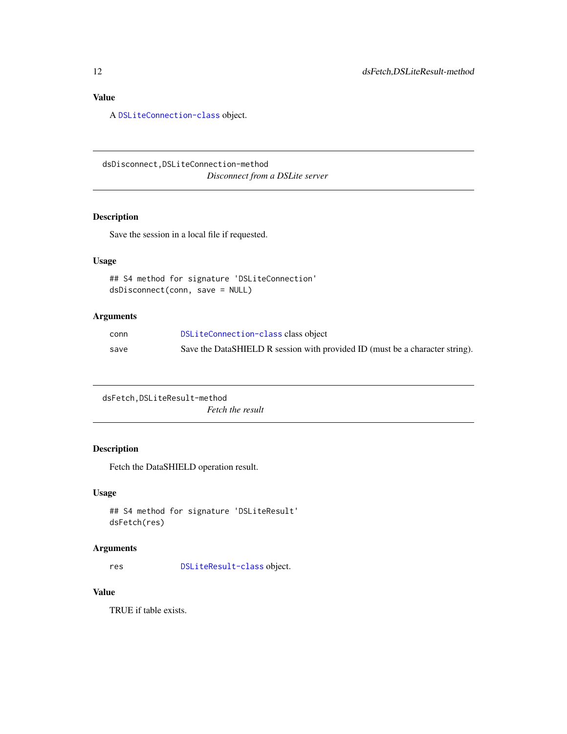## <span id="page-11-0"></span>Value

A [DSLiteConnection-class](#page-0-0) object.

dsDisconnect,DSLiteConnection-method *Disconnect from a DSLite server*

### Description

Save the session in a local file if requested.

#### Usage

## S4 method for signature 'DSLiteConnection' dsDisconnect(conn, save = NULL)

### Arguments

| conn | DSLiteConnection-class class object                                          |
|------|------------------------------------------------------------------------------|
| save | Save the DataSHIELD R session with provided ID (must be a character string). |

```
dsFetch,DSLiteResult-method
                        Fetch the result
```
## Description

Fetch the DataSHIELD operation result.

#### Usage

```
## S4 method for signature 'DSLiteResult'
dsFetch(res)
```
### Arguments

res [DSLiteResult-class](#page-0-0) object.

#### Value

TRUE if table exists.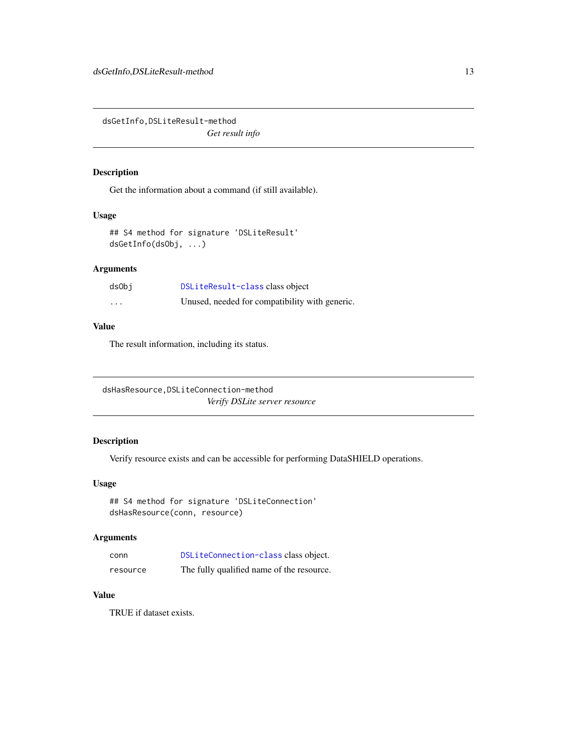<span id="page-12-0"></span>dsGetInfo,DSLiteResult-method

*Get result info*

### Description

Get the information about a command (if still available).

#### Usage

```
## S4 method for signature 'DSLiteResult'
dsGetInfo(dsObj, ...)
```
#### Arguments

| dsObj   | DSLiteResult-class class object                |
|---------|------------------------------------------------|
| $\cdot$ | Unused, needed for compatibility with generic. |

## Value

The result information, including its status.

dsHasResource,DSLiteConnection-method *Verify DSLite server resource*

## Description

Verify resource exists and can be accessible for performing DataSHIELD operations.

#### Usage

```
## S4 method for signature 'DSLiteConnection'
dsHasResource(conn, resource)
```
## Arguments

| conn     | DSLiteConnection-class class object.      |
|----------|-------------------------------------------|
| resource | The fully qualified name of the resource. |

## Value

TRUE if dataset exists.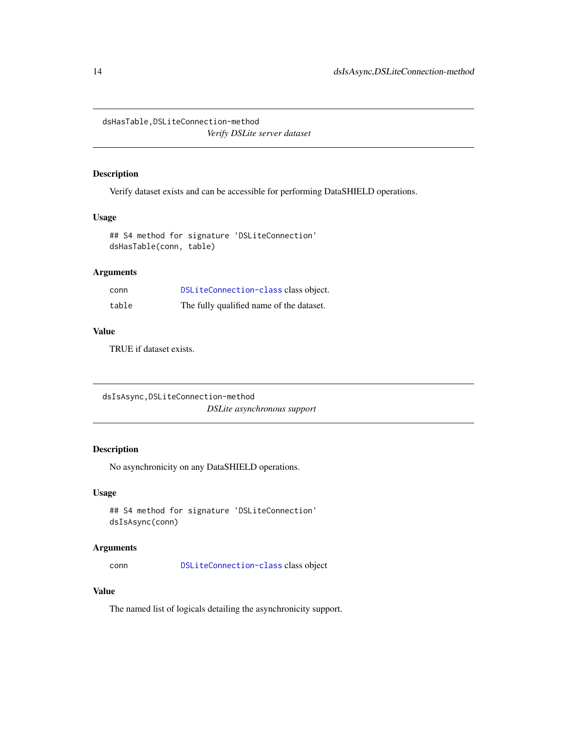<span id="page-13-0"></span>dsHasTable,DSLiteConnection-method *Verify DSLite server dataset*

#### Description

Verify dataset exists and can be accessible for performing DataSHIELD operations.

#### Usage

```
## S4 method for signature 'DSLiteConnection'
dsHasTable(conn, table)
```
## Arguments

| conn  | DSLiteConnection-class class object.     |
|-------|------------------------------------------|
| table | The fully qualified name of the dataset. |

## Value

TRUE if dataset exists.

dsIsAsync,DSLiteConnection-method *DSLite asynchronous support*

#### Description

No asynchronicity on any DataSHIELD operations.

#### Usage

## S4 method for signature 'DSLiteConnection' dsIsAsync(conn)

#### Arguments

conn [DSLiteConnection-class](#page-0-0) class object

#### Value

The named list of logicals detailing the asynchronicity support.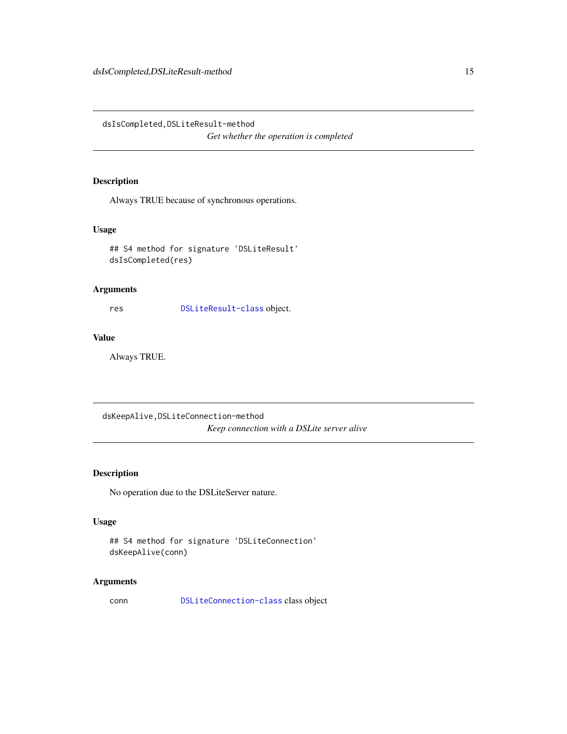<span id="page-14-0"></span>dsIsCompleted,DSLiteResult-method

*Get whether the operation is completed*

### Description

Always TRUE because of synchronous operations.

#### Usage

```
## S4 method for signature 'DSLiteResult'
dsIsCompleted(res)
```
### Arguments

res [DSLiteResult-class](#page-0-0) object.

#### Value

Always TRUE.

dsKeepAlive,DSLiteConnection-method *Keep connection with a DSLite server alive*

## Description

No operation due to the DSLiteServer nature.

#### Usage

```
## S4 method for signature 'DSLiteConnection'
dsKeepAlive(conn)
```
## Arguments

conn [DSLiteConnection-class](#page-0-0) class object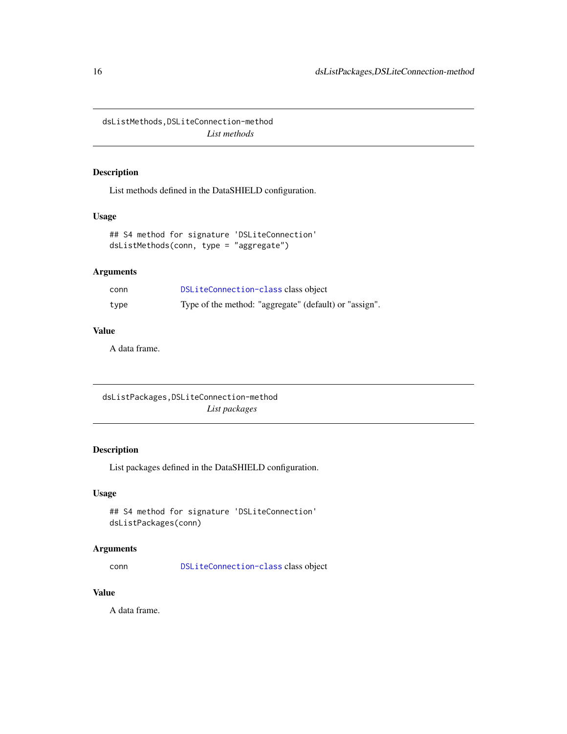<span id="page-15-0"></span>dsListMethods,DSLiteConnection-method *List methods*

#### Description

List methods defined in the DataSHIELD configuration.

#### Usage

```
## S4 method for signature 'DSLiteConnection'
dsListMethods(conn, type = "aggregate")
```
## Arguments

| conn | DSLiteConnection-class class object                    |
|------|--------------------------------------------------------|
| type | Type of the method: "aggregate" (default) or "assign". |

#### Value

A data frame.

dsListPackages,DSLiteConnection-method *List packages*

## Description

List packages defined in the DataSHIELD configuration.

## Usage

## S4 method for signature 'DSLiteConnection' dsListPackages(conn)

### Arguments

conn [DSLiteConnection-class](#page-0-0) class object

#### Value

A data frame.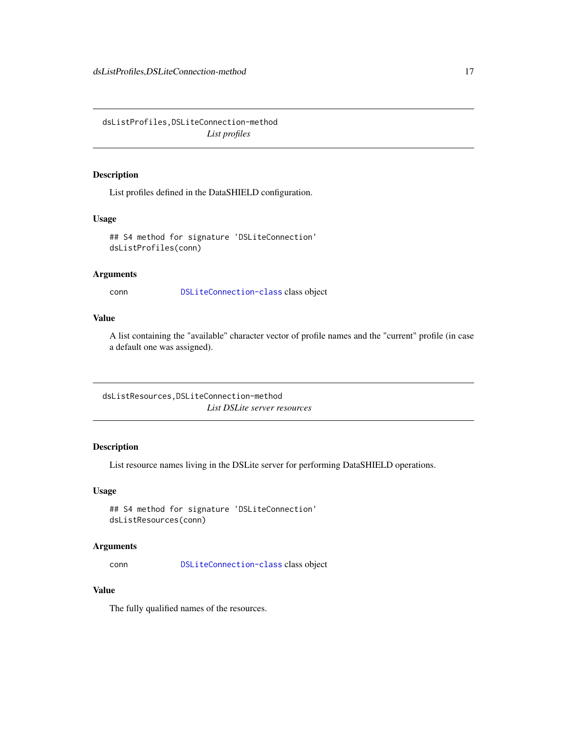<span id="page-16-0"></span>dsListProfiles,DSLiteConnection-method *List profiles*

#### Description

List profiles defined in the DataSHIELD configuration.

#### Usage

```
## S4 method for signature 'DSLiteConnection'
dsListProfiles(conn)
```
### Arguments

conn [DSLiteConnection-class](#page-0-0) class object

#### Value

A list containing the "available" character vector of profile names and the "current" profile (in case a default one was assigned).

dsListResources,DSLiteConnection-method *List DSLite server resources*

## Description

List resource names living in the DSLite server for performing DataSHIELD operations.

#### Usage

```
## S4 method for signature 'DSLiteConnection'
dsListResources(conn)
```
## Arguments

conn [DSLiteConnection-class](#page-0-0) class object

#### Value

The fully qualified names of the resources.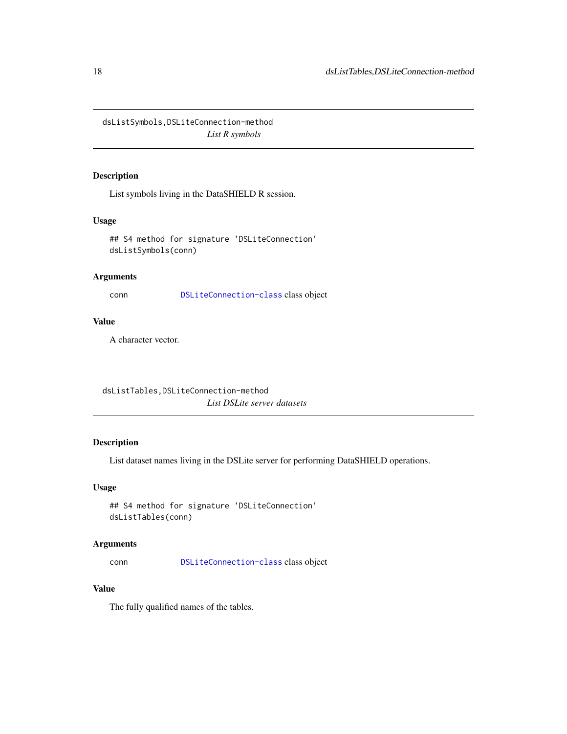<span id="page-17-0"></span>dsListSymbols,DSLiteConnection-method *List R symbols*

#### Description

List symbols living in the DataSHIELD R session.

#### Usage

## S4 method for signature 'DSLiteConnection' dsListSymbols(conn)

#### Arguments

conn [DSLiteConnection-class](#page-0-0) class object

#### Value

A character vector.

dsListTables,DSLiteConnection-method *List DSLite server datasets*

### Description

List dataset names living in the DSLite server for performing DataSHIELD operations.

#### Usage

```
## S4 method for signature 'DSLiteConnection'
dsListTables(conn)
```
#### Arguments

conn [DSLiteConnection-class](#page-0-0) class object

## Value

The fully qualified names of the tables.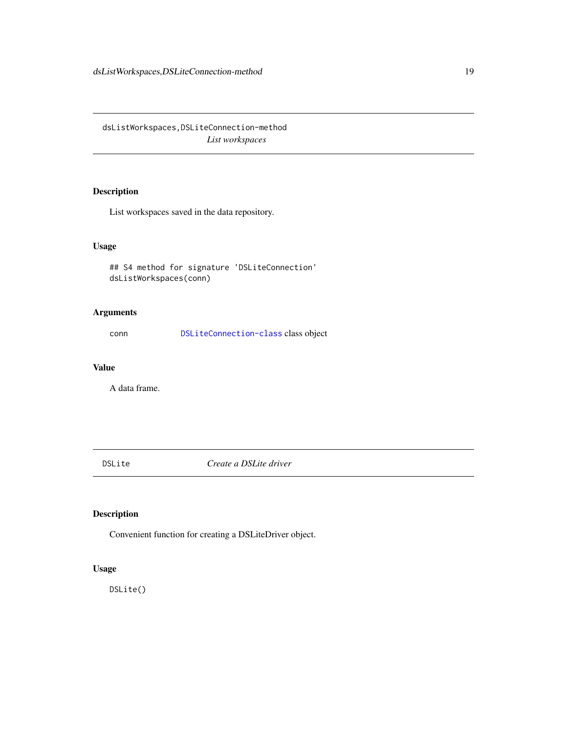<span id="page-18-0"></span>dsListWorkspaces,DSLiteConnection-method *List workspaces*

## Description

List workspaces saved in the data repository.

## Usage

```
## S4 method for signature 'DSLiteConnection'
dsListWorkspaces(conn)
```
#### Arguments

conn [DSLiteConnection-class](#page-0-0) class object

#### Value

A data frame.

DSLite *Create a DSLite driver*

### Description

Convenient function for creating a DSLiteDriver object.

## Usage

DSLite()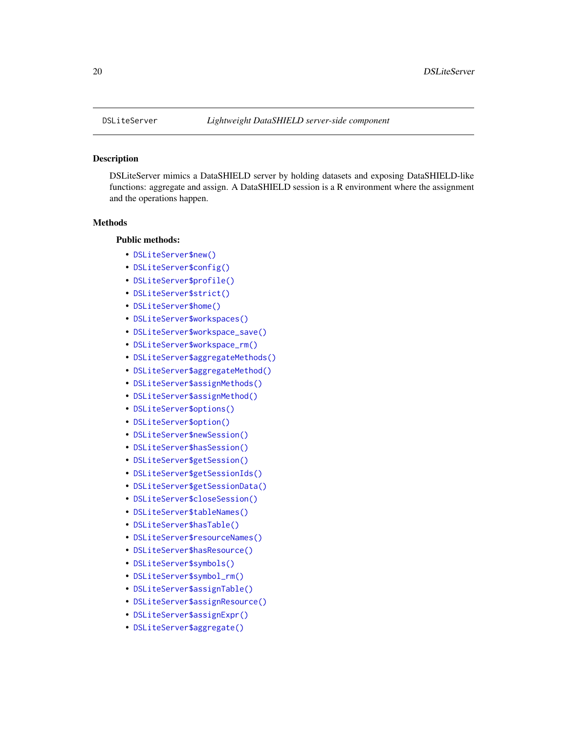<span id="page-19-1"></span><span id="page-19-0"></span>

#### Description

DSLiteServer mimics a DataSHIELD server by holding datasets and exposing DataSHIELD-like functions: aggregate and assign. A DataSHIELD session is a R environment where the assignment and the operations happen.

#### Methods

#### Public methods:

- [DSLiteServer\\$new\(\)](#page-20-0)
- [DSLiteServer\\$config\(\)](#page-20-1)
- [DSLiteServer\\$profile\(\)](#page-20-2)
- [DSLiteServer\\$strict\(\)](#page-20-3)
- [DSLiteServer\\$home\(\)](#page-21-0)
- [DSLiteServer\\$workspaces\(\)](#page-21-1)
- [DSLiteServer\\$workspace\\_save\(\)](#page-21-2)
- [DSLiteServer\\$workspace\\_rm\(\)](#page-21-3)
- [DSLiteServer\\$aggregateMethods\(\)](#page-21-4)
- [DSLiteServer\\$aggregateMethod\(\)](#page-22-0)
- [DSLiteServer\\$assignMethods\(\)](#page-22-1)
- [DSLiteServer\\$assignMethod\(\)](#page-22-2)
- [DSLiteServer\\$options\(\)](#page-22-3)
- [DSLiteServer\\$option\(\)](#page-22-4)
- [DSLiteServer\\$newSession\(\)](#page-23-0)
- [DSLiteServer\\$hasSession\(\)](#page-23-1)
- [DSLiteServer\\$getSession\(\)](#page-23-2)
- [DSLiteServer\\$getSessionIds\(\)](#page-23-3)
- [DSLiteServer\\$getSessionData\(\)](#page-23-4)
- [DSLiteServer\\$closeSession\(\)](#page-23-5)
- [DSLiteServer\\$tableNames\(\)](#page-24-0)
- [DSLiteServer\\$hasTable\(\)](#page-24-1)
- [DSLiteServer\\$resourceNames\(\)](#page-24-2)
- [DSLiteServer\\$hasResource\(\)](#page-24-3)
- [DSLiteServer\\$symbols\(\)](#page-24-4)
- [DSLiteServer\\$symbol\\_rm\(\)](#page-24-5)
- [DSLiteServer\\$assignTable\(\)](#page-24-6)
- [DSLiteServer\\$assignResource\(\)](#page-25-0)
- [DSLiteServer\\$assignExpr\(\)](#page-25-1)
- [DSLiteServer\\$aggregate\(\)](#page-25-2)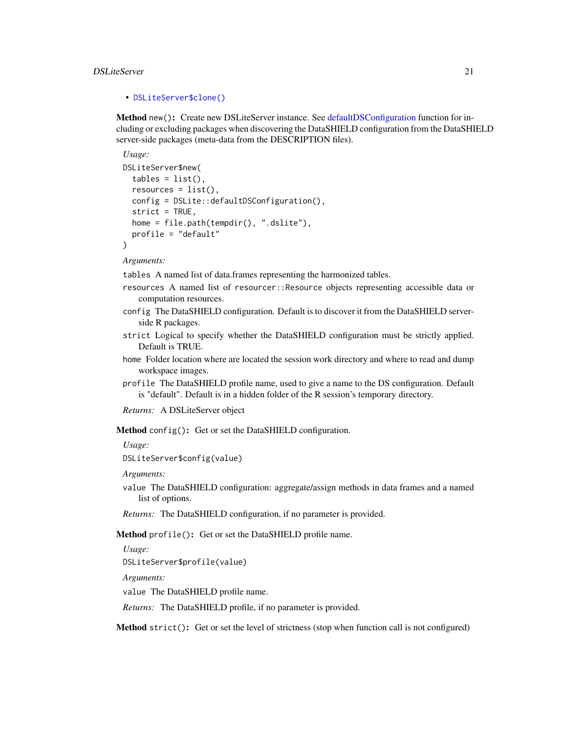#### <span id="page-20-4"></span>DSLiteServer 21

#### • [DSLiteServer\\$clone\(\)](#page-25-3)

<span id="page-20-0"></span>Method new(): Create new DSLiteServer instance. See [defaultDSConfiguration](#page-5-1) function for including or excluding packages when discovering the DataSHIELD configuration from the DataSHIELD server-side packages (meta-data from the DESCRIPTION files).

```
Usage:
DSLiteServer$new(
  tables = list(),
  resources = list(),
  config = DSLite::defaultDSConfiguration(),
  strict = TRUE,home = file.path(tempdir(), ".dslite"),
  profile = "default"
)
```
*Arguments:*

tables A named list of data.frames representing the harmonized tables.

- resources A named list of resourcer::Resource objects representing accessible data or computation resources.
- config The DataSHIELD configuration. Default is to discover it from the DataSHIELD serverside R packages.
- strict Logical to specify whether the DataSHIELD configuration must be strictly applied. Default is TRUE.
- home Folder location where are located the session work directory and where to read and dump workspace images.
- profile The DataSHIELD profile name, used to give a name to the DS configuration. Default is "default". Default is in a hidden folder of the R session's temporary directory.

```
Returns: A DSLiteServer object
```
<span id="page-20-1"></span>Method config(): Get or set the DataSHIELD configuration.

*Usage:*

```
DSLiteServer$config(value)
```
*Arguments:*

value The DataSHIELD configuration: aggregate/assign methods in data frames and a named list of options.

*Returns:* The DataSHIELD configuration, if no parameter is provided.

<span id="page-20-2"></span>Method profile(): Get or set the DataSHIELD profile name.

*Usage:*

DSLiteServer\$profile(value)

*Arguments:*

value The DataSHIELD profile name.

*Returns:* The DataSHIELD profile, if no parameter is provided.

<span id="page-20-3"></span>Method strict(): Get or set the level of strictness (stop when function call is not configured)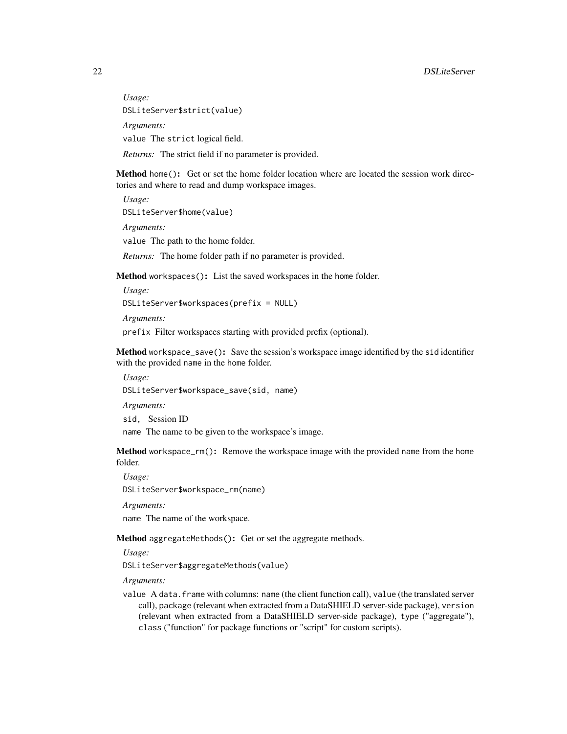*Usage:* DSLiteServer\$strict(value) *Arguments:* value The strict logical field. *Returns:* The strict field if no parameter is provided.

<span id="page-21-0"></span>Method home(): Get or set the home folder location where are located the session work direc-

*Usage:* DSLiteServer\$home(value) *Arguments:* value The path to the home folder.

tories and where to read and dump workspace images.

*Returns:* The home folder path if no parameter is provided.

<span id="page-21-1"></span>Method workspaces(): List the saved workspaces in the home folder.

*Usage:*

DSLiteServer\$workspaces(prefix = NULL)

*Arguments:*

prefix Filter workspaces starting with provided prefix (optional).

<span id="page-21-2"></span>Method workspace\_save(): Save the session's workspace image identified by the sid identifier with the provided name in the home folder.

*Usage:*

DSLiteServer\$workspace\_save(sid, name)

*Arguments:*

sid, Session ID

name The name to be given to the workspace's image.

<span id="page-21-3"></span>Method workspace\_rm(): Remove the workspace image with the provided name from the home folder.

*Usage:* DSLiteServer\$workspace\_rm(name)

*Arguments:*

name The name of the workspace.

<span id="page-21-4"></span>Method aggregateMethods(): Get or set the aggregate methods.

*Usage:*

DSLiteServer\$aggregateMethods(value)

*Arguments:*

value A data.frame with columns: name (the client function call), value (the translated server call), package (relevant when extracted from a DataSHIELD server-side package), version (relevant when extracted from a DataSHIELD server-side package), type ("aggregate"), class ("function" for package functions or "script" for custom scripts).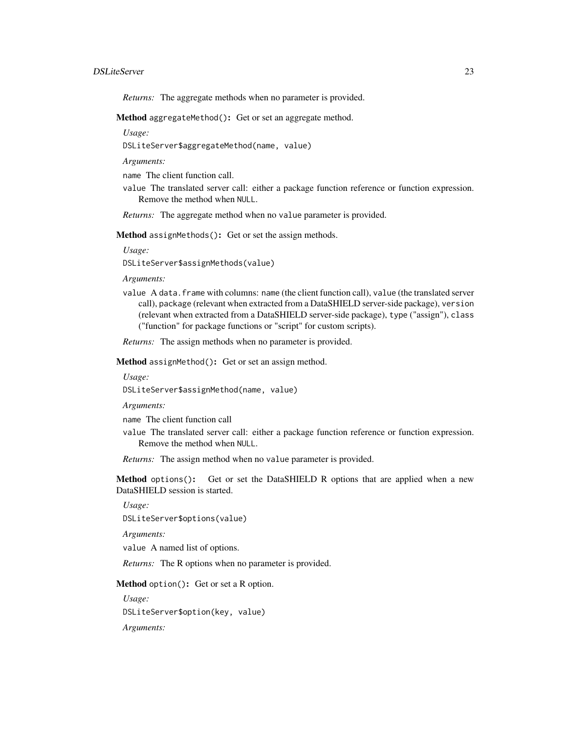#### DSLiteServer 23

*Returns:* The aggregate methods when no parameter is provided.

<span id="page-22-0"></span>Method aggregateMethod(): Get or set an aggregate method.

*Usage:*

DSLiteServer\$aggregateMethod(name, value)

*Arguments:*

name The client function call.

value The translated server call: either a package function reference or function expression. Remove the method when NULL.

*Returns:* The aggregate method when no value parameter is provided.

<span id="page-22-1"></span>Method assignMethods(): Get or set the assign methods.

*Usage:*

DSLiteServer\$assignMethods(value)

*Arguments:*

value A data.frame with columns: name (the client function call), value (the translated server call), package (relevant when extracted from a DataSHIELD server-side package), version (relevant when extracted from a DataSHIELD server-side package), type ("assign"), class ("function" for package functions or "script" for custom scripts).

*Returns:* The assign methods when no parameter is provided.

<span id="page-22-2"></span>Method assignMethod(): Get or set an assign method.

*Usage:*

DSLiteServer\$assignMethod(name, value)

*Arguments:*

name The client function call

value The translated server call: either a package function reference or function expression. Remove the method when NULL.

*Returns:* The assign method when no value parameter is provided.

<span id="page-22-3"></span>Method options(): Get or set the DataSHIELD R options that are applied when a new DataSHIELD session is started.

*Usage:*

DSLiteServer\$options(value)

*Arguments:*

value A named list of options.

*Returns:* The R options when no parameter is provided.

<span id="page-22-4"></span>Method option(): Get or set a R option.

*Usage:* DSLiteServer\$option(key, value)

*Arguments:*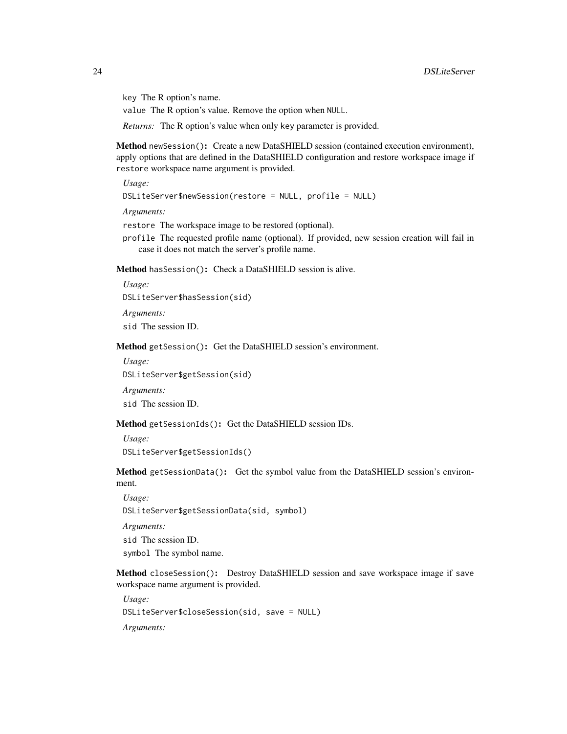key The R option's name. value The R option's value. Remove the option when NULL.

*Returns:* The R option's value when only key parameter is provided.

<span id="page-23-0"></span>Method newSession(): Create a new DataSHIELD session (contained execution environment), apply options that are defined in the DataSHIELD configuration and restore workspace image if restore workspace name argument is provided.

```
Usage:
DSLiteServer$newSession(restore = NULL, profile = NULL)
```
*Arguments:*

restore The workspace image to be restored (optional).

profile The requested profile name (optional). If provided, new session creation will fail in case it does not match the server's profile name.

<span id="page-23-1"></span>Method hasSession(): Check a DataSHIELD session is alive.

*Usage:*

DSLiteServer\$hasSession(sid)

*Arguments:*

sid The session ID.

<span id="page-23-2"></span>Method getSession(): Get the DataSHIELD session's environment.

*Usage:*

DSLiteServer\$getSession(sid)

*Arguments:*

sid The session ID.

<span id="page-23-3"></span>Method getSessionIds(): Get the DataSHIELD session IDs.

*Usage:* DSLiteServer\$getSessionIds()

<span id="page-23-4"></span>Method getSessionData(): Get the symbol value from the DataSHIELD session's environment.

*Usage:*

DSLiteServer\$getSessionData(sid, symbol)

*Arguments:*

sid The session ID.

symbol The symbol name.

<span id="page-23-5"></span>Method closeSession(): Destroy DataSHIELD session and save workspace image if save workspace name argument is provided.

*Usage:* DSLiteServer\$closeSession(sid, save = NULL) *Arguments:*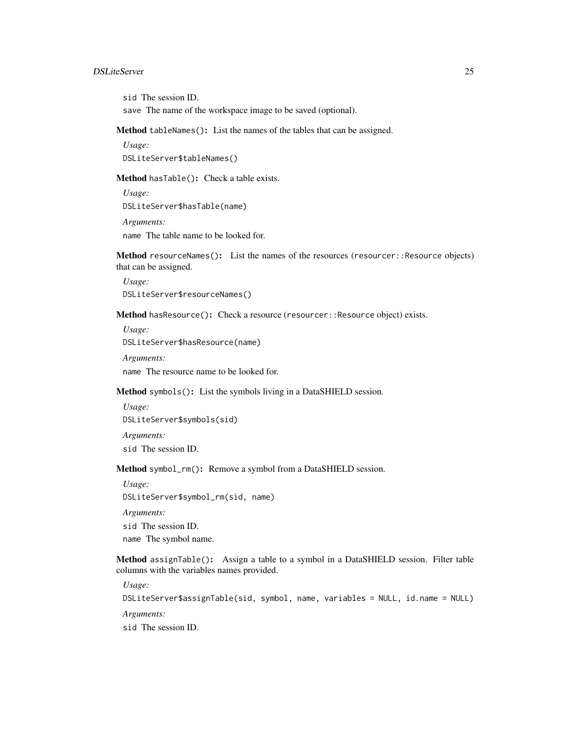#### DSLiteServer 25

sid The session ID.

save The name of the workspace image to be saved (optional).

<span id="page-24-0"></span>Method tableNames(): List the names of the tables that can be assigned.

*Usage:* DSLiteServer\$tableNames()

<span id="page-24-1"></span>Method hasTable(): Check a table exists.

*Usage:* DSLiteServer\$hasTable(name) *Arguments:*

name The table name to be looked for.

<span id="page-24-2"></span>Method resourceNames(): List the names of the resources (resourcer::Resource objects) that can be assigned.

*Usage:* DSLiteServer\$resourceNames()

<span id="page-24-3"></span>Method hasResource(): Check a resource (resourcer::Resource object) exists.

*Usage:*

DSLiteServer\$hasResource(name)

*Arguments:*

name The resource name to be looked for.

#### <span id="page-24-4"></span>Method symbols(): List the symbols living in a DataSHIELD session.

*Usage:* DSLiteServer\$symbols(sid) *Arguments:* sid The session ID.

<span id="page-24-5"></span>Method symbol\_rm(): Remove a symbol from a DataSHIELD session.

*Usage:*

DSLiteServer\$symbol\_rm(sid, name)

*Arguments:*

sid The session ID.

name The symbol name.

<span id="page-24-6"></span>Method assignTable(): Assign a table to a symbol in a DataSHIELD session. Filter table columns with the variables names provided.

*Usage:*

DSLiteServer\$assignTable(sid, symbol, name, variables = NULL, id.name = NULL)

*Arguments:*

sid The session ID.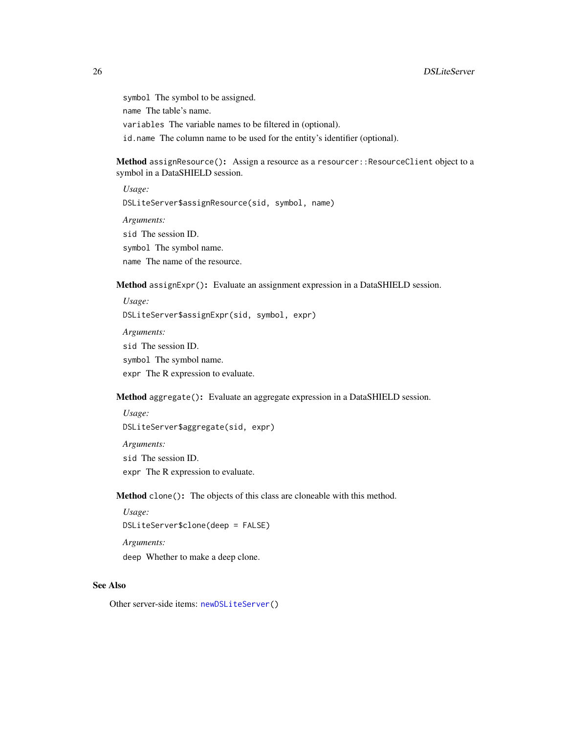symbol The symbol to be assigned. name The table's name. variables The variable names to be filtered in (optional). id.name The column name to be used for the entity's identifier (optional).

<span id="page-25-0"></span>Method assignResource(): Assign a resource as a resourcer::ResourceClient object to a symbol in a DataSHIELD session.

*Usage:* DSLiteServer\$assignResource(sid, symbol, name) *Arguments:* sid The session ID. symbol The symbol name. name The name of the resource.

<span id="page-25-1"></span>Method assignExpr(): Evaluate an assignment expression in a DataSHIELD session.

*Usage:* DSLiteServer\$assignExpr(sid, symbol, expr) *Arguments:* sid The session ID. symbol The symbol name. expr The R expression to evaluate.

<span id="page-25-2"></span>Method aggregate(): Evaluate an aggregate expression in a DataSHIELD session.

```
Usage:
DSLiteServer$aggregate(sid, expr)
Arguments:
sid The session ID.
expr The R expression to evaluate.
```
<span id="page-25-3"></span>Method clone(): The objects of this class are cloneable with this method.

```
Usage:
DSLiteServer$clone(deep = FALSE)
Arguments:
```
deep Whether to make a deep clone.

#### See Also

Other server-side items: [newDSLiteServer\(](#page-31-1))

<span id="page-25-4"></span>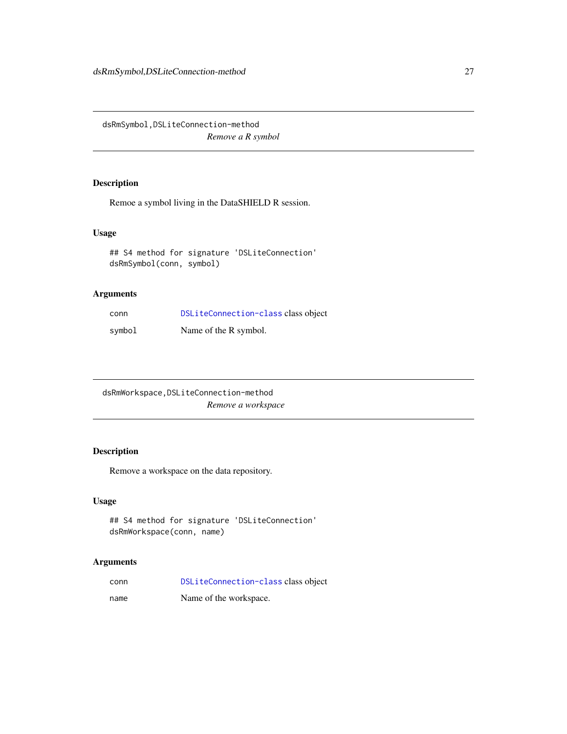<span id="page-26-0"></span>dsRmSymbol,DSLiteConnection-method *Remove a R symbol*

## Description

Remoe a symbol living in the DataSHIELD R session.

### Usage

```
## S4 method for signature 'DSLiteConnection'
dsRmSymbol(conn, symbol)
```
### Arguments

| conn   | DSLiteConnection-class class object |
|--------|-------------------------------------|
| symbol | Name of the R symbol.               |

dsRmWorkspace,DSLiteConnection-method *Remove a workspace*

## Description

Remove a workspace on the data repository.

#### Usage

```
## S4 method for signature 'DSLiteConnection'
dsRmWorkspace(conn, name)
```
#### Arguments

| conn | DSLiteConnection-class class object |
|------|-------------------------------------|
| name | Name of the workspace.              |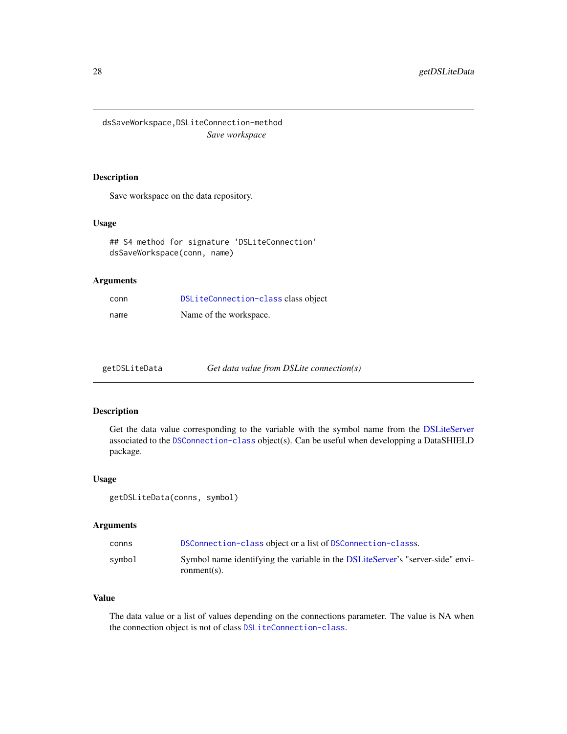<span id="page-27-0"></span>dsSaveWorkspace,DSLiteConnection-method *Save workspace*

### Description

Save workspace on the data repository.

#### Usage

```
## S4 method for signature 'DSLiteConnection'
dsSaveWorkspace(conn, name)
```
#### Arguments

| conn | DSLiteConnection-class class object |
|------|-------------------------------------|
| name | Name of the workspace.              |

getDSLiteData *Get data value from DSLite connection(s)*

#### Description

Get the data value corresponding to the variable with the symbol name from the [DSLiteServer](#page-19-1) associated to the [DSConnection-class](#page-0-0) object(s). Can be useful when developping a DataSHIELD package.

#### Usage

```
getDSLiteData(conns, symbol)
```
#### Arguments

| conns  | DSConnection-class object or a list of DSConnection-classs.                                       |
|--------|---------------------------------------------------------------------------------------------------|
| symbol | Symbol name identifying the variable in the DSLiteServer's "server-side" envi-<br>ronment( $s$ ). |

#### Value

The data value or a list of values depending on the connections parameter. The value is NA when the connection object is not of class [DSLiteConnection-class](#page-0-0).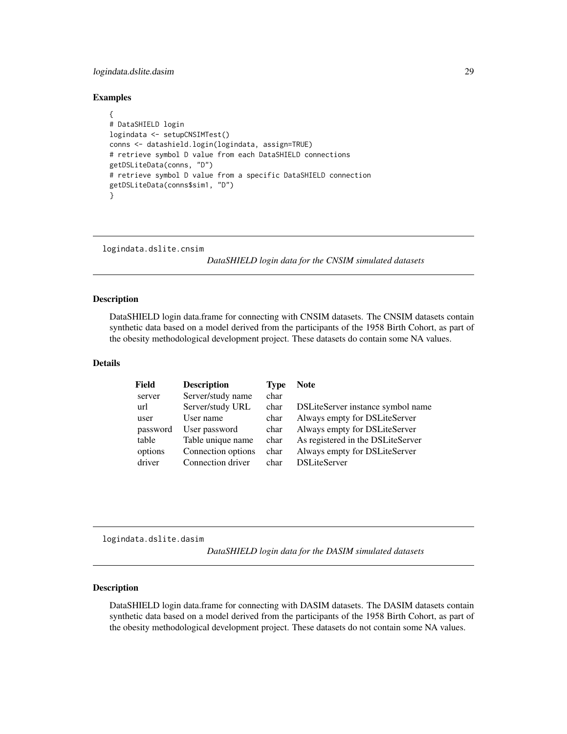### <span id="page-28-0"></span>logindata.dslite.dasim 29

#### Examples

```
{
# DataSHIELD login
logindata <- setupCNSIMTest()
conns <- datashield.login(logindata, assign=TRUE)
# retrieve symbol D value from each DataSHIELD connections
getDSLiteData(conns, "D")
# retrieve symbol D value from a specific DataSHIELD connection
getDSLiteData(conns$sim1, "D")
}
```
logindata.dslite.cnsim

*DataSHIELD login data for the CNSIM simulated datasets*

#### Description

DataSHIELD login data.frame for connecting with CNSIM datasets. The CNSIM datasets contain synthetic data based on a model derived from the participants of the 1958 Birth Cohort, as part of the obesity methodological development project. These datasets do contain some NA values.

## Details

| Field    | <b>Description</b> | <b>Type</b> | <b>Note</b>                       |
|----------|--------------------|-------------|-----------------------------------|
| server   | Server/study name  | char        |                                   |
| url      | Server/study URL   | char        | DSLiteServer instance symbol name |
| user     | User name          | char        | Always empty for DSLiteServer     |
| password | User password      | char        | Always empty for DSLiteServer     |
| table    | Table unique name  | char        | As registered in the DSLiteServer |
| options  | Connection options | char        | Always empty for DSLiteServer     |
| driver   | Connection driver  | char        | <b>DSLiteServer</b>               |
|          |                    |             |                                   |

logindata.dslite.dasim

*DataSHIELD login data for the DASIM simulated datasets*

#### Description

DataSHIELD login data.frame for connecting with DASIM datasets. The DASIM datasets contain synthetic data based on a model derived from the participants of the 1958 Birth Cohort, as part of the obesity methodological development project. These datasets do not contain some NA values.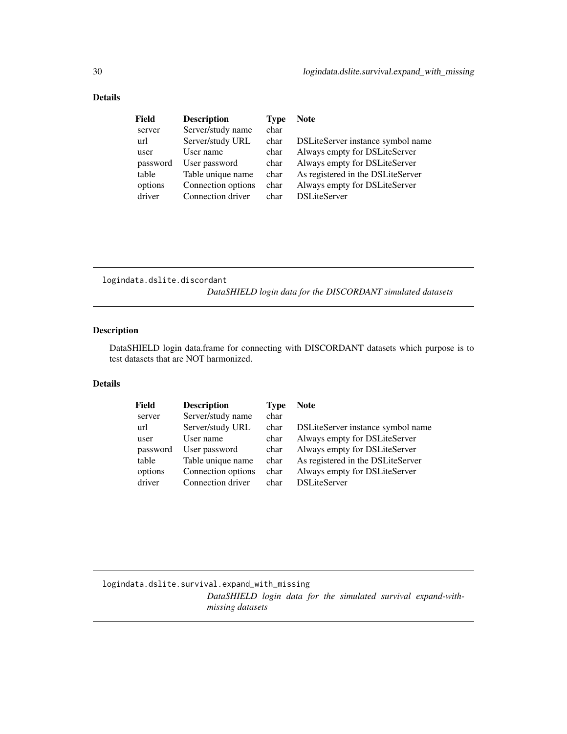## <span id="page-29-0"></span>Details

| Field    | <b>Description</b> | <b>Type</b> | <b>Note</b>                       |
|----------|--------------------|-------------|-----------------------------------|
| server   | Server/study name  | char        |                                   |
| url      | Server/study URL   | char        | DSLiteServer instance symbol name |
| user     | User name          | char        | Always empty for DSLiteServer     |
| password | User password      | char        | Always empty for DSLiteServer     |
| table    | Table unique name  | char        | As registered in the DSLiteServer |
| options  | Connection options | char        | Always empty for DSLiteServer     |
| driver   | Connection driver  | char        | <b>DSL</b> iteServer              |

logindata.dslite.discordant *DataSHIELD login data for the DISCORDANT simulated datasets*

### Description

DataSHIELD login data.frame for connecting with DISCORDANT datasets which purpose is to test datasets that are NOT harmonized.

## Details

|                    | <b>Type</b>        | <b>Note</b>                       |
|--------------------|--------------------|-----------------------------------|
| Server/study name  | char               |                                   |
| Server/study URL   | char               | DSLiteServer instance symbol name |
| User name          | char               | Always empty for DSLiteServer     |
| User password      | char               | Always empty for DSLiteServer     |
| Table unique name  | char               | As registered in the DSLiteServer |
| Connection options | char               | Always empty for DSLiteServer     |
| Connection driver  | char               | <b>DSLiteServer</b>               |
|                    | <b>Description</b> |                                   |

logindata.dslite.survival.expand\_with\_missing *DataSHIELD login data for the simulated survival expand-withmissing datasets*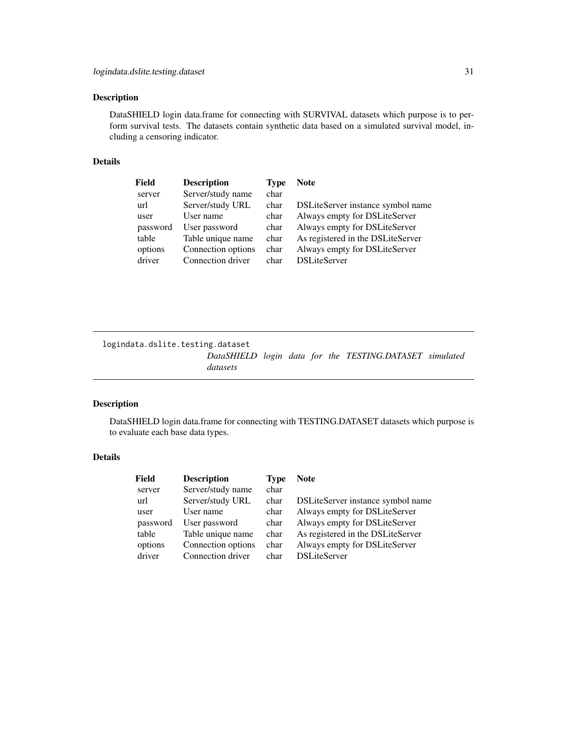#### <span id="page-30-0"></span>Description

DataSHIELD login data.frame for connecting with SURVIVAL datasets which purpose is to perform survival tests. The datasets contain synthetic data based on a simulated survival model, including a censoring indicator.

#### Details

| Field    | <b>Description</b> | Type | <b>Note</b>                       |
|----------|--------------------|------|-----------------------------------|
| server   | Server/study name  | char |                                   |
| url      | Server/study URL   | char | DSLiteServer instance symbol name |
| user     | User name          | char | Always empty for DSLiteServer     |
| password | User password      | char | Always empty for DSLiteServer     |
| table    | Table unique name  | char | As registered in the DSLiteServer |
| options  | Connection options | char | Always empty for DSLiteServer     |
| driver   | Connection driver  | char | <b>DSLiteServer</b>               |

logindata.dslite.testing.dataset

*DataSHIELD login data for the TESTING.DATASET simulated datasets*

### Description

DataSHIELD login data.frame for connecting with TESTING.DATASET datasets which purpose is to evaluate each base data types.

#### Details

| Field    | <b>Description</b> | <b>Type</b> | <b>Note</b>                       |
|----------|--------------------|-------------|-----------------------------------|
| server   | Server/study name  | char        |                                   |
| url      | Server/study URL   | char        | DSLiteServer instance symbol name |
| user     | User name          | char        | Always empty for DSLiteServer     |
| password | User password      | char        | Always empty for DSLiteServer     |
| table    | Table unique name  | char        | As registered in the DSLiteServer |
| options  | Connection options | char        | Always empty for DSLiteServer     |
| driver   | Connection driver  | char        | <b>DSL</b> iteServer              |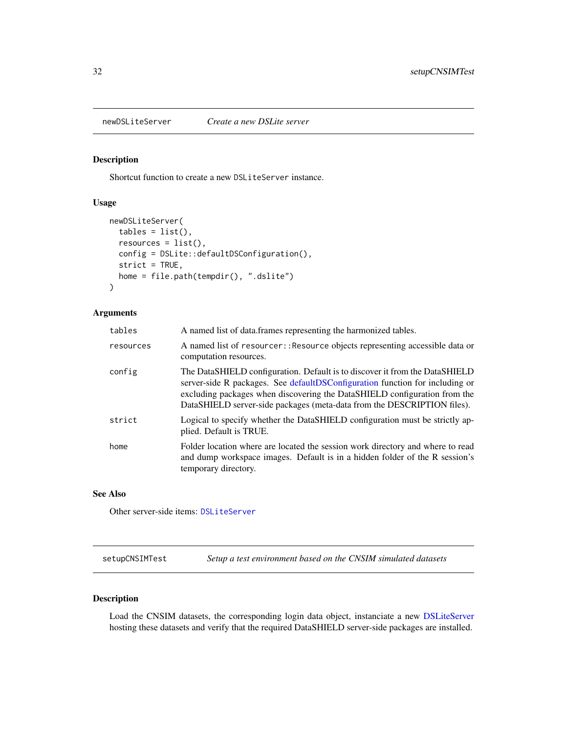<span id="page-31-1"></span><span id="page-31-0"></span>

### Description

Shortcut function to create a new DSLiteServer instance.

#### Usage

```
newDSLiteServer(
  tables = list(),resources = list(),
  config = DSLite::defaultDSConfiguration(),
  strict = TRUE,
 home = file.path(tempdir(), ".dslite")
\mathcal{L}
```
#### Arguments

| tables    | A named list of data.frames representing the harmonized tables.                                                                                                                                                                                                                                                     |
|-----------|---------------------------------------------------------------------------------------------------------------------------------------------------------------------------------------------------------------------------------------------------------------------------------------------------------------------|
| resources | A named list of resourcer: :Resource objects representing accessible data or<br>computation resources.                                                                                                                                                                                                              |
| config    | The DataSHIELD configuration. Default is to discover it from the DataSHIELD<br>server-side R packages. See defaultDSConfiguration function for including or<br>excluding packages when discovering the DataSHIELD configuration from the<br>DataSHIELD server-side packages (meta-data from the DESCRIPTION files). |
| strict    | Logical to specify whether the DataSHIELD configuration must be strictly ap-<br>plied. Default is TRUE.                                                                                                                                                                                                             |
| home      | Folder location where are located the session work directory and where to read<br>and dump workspace images. Default is in a hidden folder of the R session's<br>temporary directory.                                                                                                                               |

#### See Also

Other server-side items: [DSLiteServer](#page-19-1)

<span id="page-31-2"></span>setupCNSIMTest *Setup a test environment based on the CNSIM simulated datasets*

#### Description

Load the CNSIM datasets, the corresponding login data object, instanciate a new [DSLiteServer](#page-19-1) hosting these datasets and verify that the required DataSHIELD server-side packages are installed.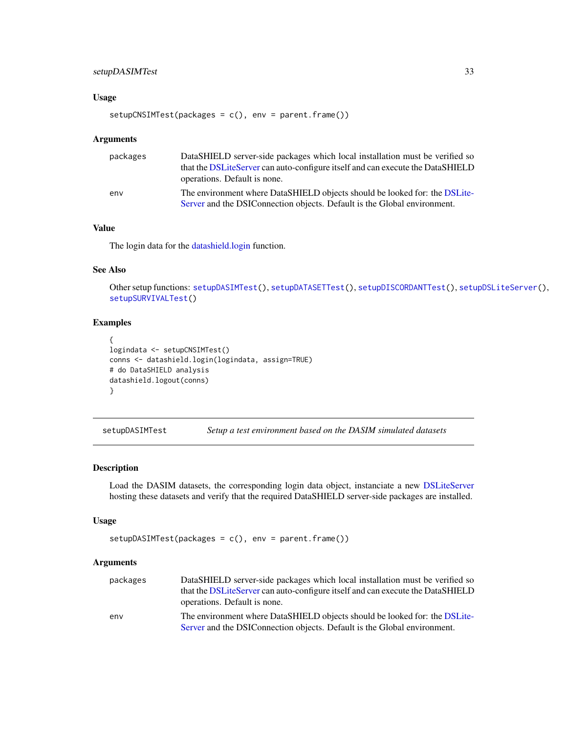### <span id="page-32-0"></span>setupDASIMTest 33

#### Usage

```
setupCNSIMTest(packages = c(), env = parent.frame())
```
#### **Arguments**

| packages | DataSHIELD server-side packages which local installation must be verified so<br>that the DSLiteServer can auto-configure itself and can execute the DataSHIELD<br>operations. Default is none. |
|----------|------------------------------------------------------------------------------------------------------------------------------------------------------------------------------------------------|
| env      | The environment where DataSHIELD objects should be looked for: the DSLite-<br>Server and the DSIConnection objects. Default is the Global environment.                                         |

## Value

The login data for the [datashield.login](#page-0-0) function.

## See Also

```
Other setup functions: setupDASIMTest(), setupDATASETTest(), setupDISCORDANTTest(), setupDSLiteServer(),
setupSURVIVALTest()
```
## Examples

```
{
logindata <- setupCNSIMTest()
conns <- datashield.login(logindata, assign=TRUE)
# do DataSHIELD analysis
datashield.logout(conns)
}
```
<span id="page-32-1"></span>setupDASIMTest *Setup a test environment based on the DASIM simulated datasets*

### Description

Load the DASIM datasets, the corresponding login data object, instanciate a new [DSLiteServer](#page-19-1) hosting these datasets and verify that the required DataSHIELD server-side packages are installed.

#### Usage

```
setupDASIMTest(packages = c(), env = parent.frame())
```
#### Arguments

| packages | DataSHIELD server-side packages which local installation must be verified so   |
|----------|--------------------------------------------------------------------------------|
|          | that the DSLiteServer can auto-configure itself and can execute the DataSHIELD |
|          | operations. Default is none.                                                   |
| env      | The environment where DataSHIELD objects should be looked for: the DSLite-     |
|          | Server and the DSIConnection objects. Default is the Global environment.       |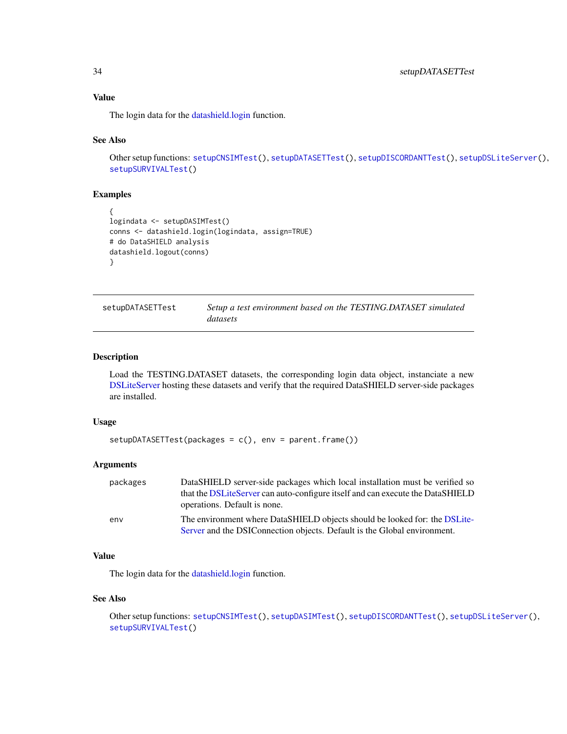## <span id="page-33-0"></span>Value

The login data for the [datashield.login](#page-0-0) function.

#### See Also

Other setup functions: [setupCNSIMTest\(](#page-31-2)), [setupDATASETTest\(](#page-33-1)), [setupDISCORDANTTest\(](#page-34-1)), [setupDSLiteServer\(](#page-35-1)), [setupSURVIVALTest\(](#page-36-1))

## Examples

```
{
logindata <- setupDASIMTest()
conns <- datashield.login(logindata, assign=TRUE)
# do DataSHIELD analysis
datashield.logout(conns)
}
```
<span id="page-33-1"></span>

| setupDATASETTest | Setup a test environment based on the TESTING.DATASET simulated |
|------------------|-----------------------------------------------------------------|
|                  | datasets                                                        |

## Description

Load the TESTING.DATASET datasets, the corresponding login data object, instanciate a new [DSLiteServer](#page-19-1) hosting these datasets and verify that the required DataSHIELD server-side packages are installed.

#### Usage

```
setupDATASETTest(packages = c(), env = parent.frame())
```
#### Arguments

| packages | DataSHIELD server-side packages which local installation must be verified so                                                                           |
|----------|--------------------------------------------------------------------------------------------------------------------------------------------------------|
|          | that the DSL the Server can auto-configure itself and can execute the Data SHIELD                                                                      |
|          | operations. Default is none.                                                                                                                           |
| env      | The environment where DataSHIELD objects should be looked for: the DSLite-<br>Server and the DSIConnection objects. Default is the Global environment. |

#### Value

The login data for the [datashield.login](#page-0-0) function.

#### See Also

```
Other setup functions: setupCNSIMTest(), setupDASIMTest(), setupDISCORDANTTest(), setupDSLiteServer(),
setupSURVIVALTest()
```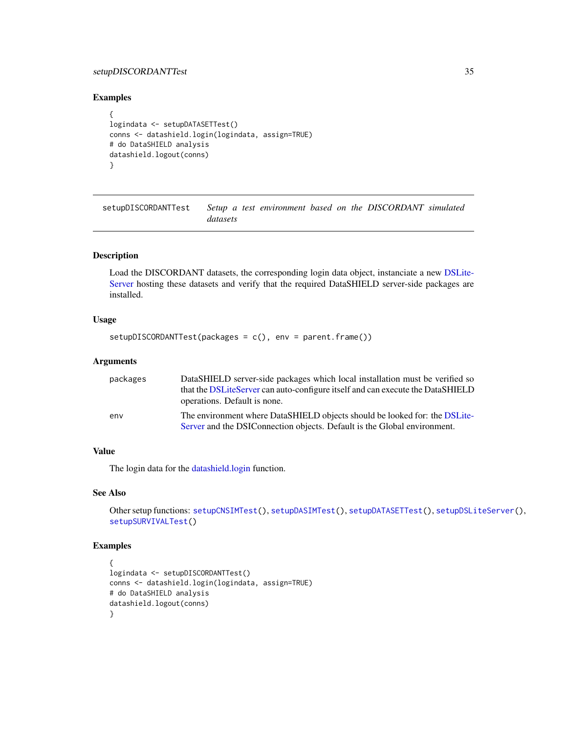### <span id="page-34-0"></span>setupDISCORDANTTest 35

## Examples

```
{
logindata <- setupDATASETTest()
conns <- datashield.login(logindata, assign=TRUE)
# do DataSHIELD analysis
datashield.logout(conns)
}
```
<span id="page-34-1"></span>setupDISCORDANTTest *Setup a test environment based on the DISCORDANT simulated datasets*

## Description

Load the DISCORDANT datasets, the corresponding login data object, instanciate a new [DSLite-](#page-19-1)[Server](#page-19-1) hosting these datasets and verify that the required DataSHIELD server-side packages are installed.

#### Usage

```
setupDISCORDANTTest(packages = c(), env = parent.frame())
```
#### Arguments

| packages | DataSHIELD server-side packages which local installation must be verified so   |
|----------|--------------------------------------------------------------------------------|
|          | that the DSLiteServer can auto-configure itself and can execute the DataSHIELD |
|          | operations. Default is none.                                                   |
| env      | The environment where DataSHIELD objects should be looked for: the DSLite-     |
|          | Server and the DSIConnection objects. Default is the Global environment.       |

#### Value

The login data for the [datashield.login](#page-0-0) function.

#### See Also

Other setup functions: [setupCNSIMTest\(](#page-31-2)), [setupDASIMTest\(](#page-32-1)), [setupDATASETTest\(](#page-33-1)), [setupDSLiteServer\(](#page-35-1)), [setupSURVIVALTest\(](#page-36-1))

#### Examples

```
{
logindata <- setupDISCORDANTTest()
conns <- datashield.login(logindata, assign=TRUE)
# do DataSHIELD analysis
datashield.logout(conns)
}
```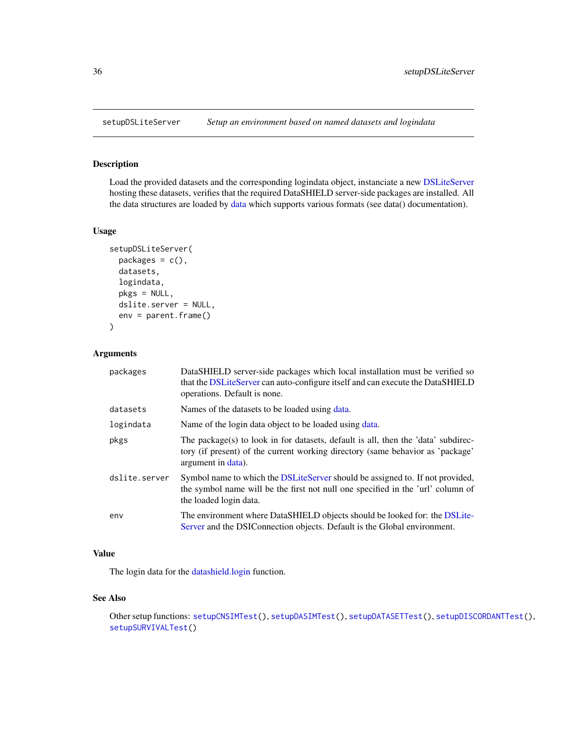<span id="page-35-1"></span><span id="page-35-0"></span>

#### Description

Load the provided datasets and the corresponding logindata object, instanciate a new [DSLiteServer](#page-19-1) hosting these datasets, verifies that the required DataSHIELD server-side packages are installed. All the data structures are loaded by [data](#page-0-0) which supports various formats (see data() documentation).

#### Usage

```
setupDSLiteServer(
 packages = c(),
  datasets,
 logindata,
 pkgs = NULL,
 dslite.server = NULL,
  env = parent.frame()
)
```
#### Arguments

| packages      | DataSHIELD server-side packages which local installation must be verified so<br>that the DSLiteServer can auto-configure itself and can execute the DataSHIELD<br>operations. Default is none. |
|---------------|------------------------------------------------------------------------------------------------------------------------------------------------------------------------------------------------|
| datasets      | Names of the datasets to be loaded using data.                                                                                                                                                 |
| logindata     | Name of the login data object to be loaded using data.                                                                                                                                         |
| pkgs          | The package(s) to look in for datasets, default is all, then the 'data' subdirec-<br>tory (if present) of the current working directory (same behavior as 'package'<br>argument in data).      |
| dslite.server | Symbol name to which the DSL test should be assigned to. If not provided,<br>the symbol name will be the first not null one specified in the 'url' column of<br>the loaded login data.         |
| env           | The environment where DataSHIELD objects should be looked for: the DSLite-<br>Server and the DSIConnection objects. Default is the Global environment.                                         |

## Value

The login data for the [datashield.login](#page-0-0) function.

#### See Also

```
Other setup functions: setupCNSIMTest(), setupDASIMTest(), setupDATASETTest(), setupDISCORDANTTest(),
setupSURVIVALTest()
```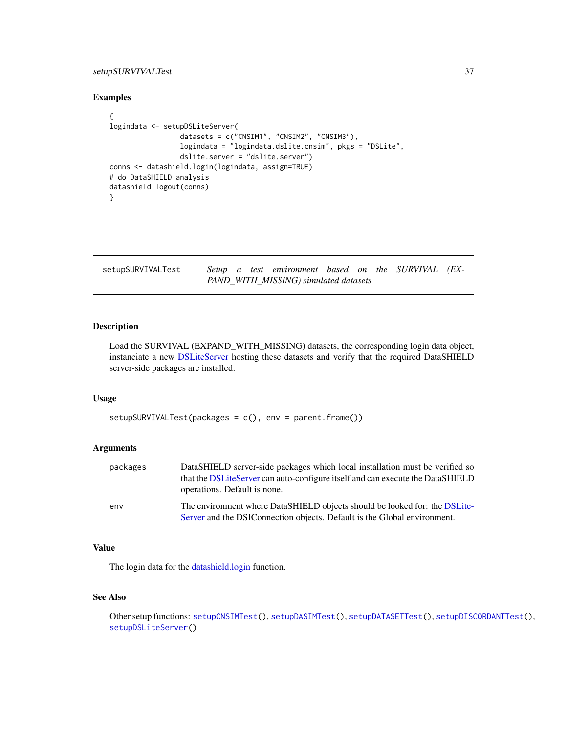### <span id="page-36-0"></span>setupSURVIVALTest 37

## Examples

```
{
logindata <- setupDSLiteServer(
                 datasets = c("CNSIM1", "CNSIM2", "CNSIM3"),
                 logindata = "logindata.dslite.cnsim", pkgs = "DSLite",
                 dslite.server = "dslite.server")
conns <- datashield.login(logindata, assign=TRUE)
# do DataSHIELD analysis
datashield.logout(conns)
}
```
<span id="page-36-1"></span>

| setupSURVIVALTest |  | Setup a test environment based on the SURVIVAL (EX- |  |  |  |
|-------------------|--|-----------------------------------------------------|--|--|--|
|                   |  | PAND WITH MISSING) simulated datasets               |  |  |  |

#### Description

Load the SURVIVAL (EXPAND\_WITH\_MISSING) datasets, the corresponding login data object, instanciate a new [DSLiteServer](#page-19-1) hosting these datasets and verify that the required DataSHIELD server-side packages are installed.

#### Usage

```
setupSURVIVALTest(packages = c(), env = parent.frame())
```
#### Arguments

| packages | DataSHIELD server-side packages which local installation must be verified so<br>that the DSL the Server can auto-configure itself and can execute the Data SHIELD<br>operations. Default is none. |
|----------|---------------------------------------------------------------------------------------------------------------------------------------------------------------------------------------------------|
| env      | The environment where DataSHIELD objects should be looked for: the DSLite-<br>Server and the DSIConnection objects. Default is the Global environment.                                            |

#### Value

The login data for the [datashield.login](#page-0-0) function.

#### See Also

```
Other setup functions: setupCNSIMTest(), setupDASIMTest(), setupDATASETTest(), setupDISCORDANTTest(),
setupDSLiteServer()
```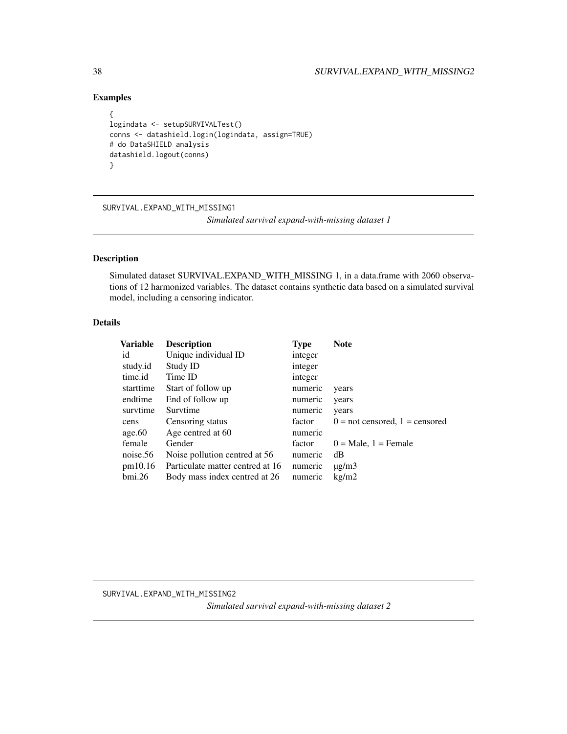## Examples

```
{
logindata <- setupSURVIVALTest()
conns <- datashield.login(logindata, assign=TRUE)
# do DataSHIELD analysis
datashield.logout(conns)
}
```
SURVIVAL.EXPAND\_WITH\_MISSING1

*Simulated survival expand-with-missing dataset 1*

## Description

Simulated dataset SURVIVAL.EXPAND\_WITH\_MISSING 1, in a data.frame with 2060 observations of 12 harmonized variables. The dataset contains synthetic data based on a simulated survival model, including a censoring indicator.

## Details

| Variable  | <b>Description</b>               | <b>Type</b> | <b>Note</b>                      |
|-----------|----------------------------------|-------------|----------------------------------|
| id        | Unique individual ID             | integer     |                                  |
| study.id  | Study ID                         | integer     |                                  |
| time.id   | Time ID                          | integer     |                                  |
| starttime | Start of follow up               | numeric     | years                            |
| endtime   | End of follow up                 | numeric     | years                            |
| survtime  | Survtime                         | numeric     | years                            |
| cens      | Censoring status                 | factor      | $0 = not censored, 1 = censored$ |
| age.60    | Age centred at 60                | numeric     |                                  |
| female    | Gender                           | factor      | $0 = Male$ , $1 = Female$        |
| noise.56  | Noise pollution centred at 56    | numeric     | dB                               |
| pm10.16   | Particulate matter centred at 16 | numeric     | $\mu$ g/m $3$                    |
| bmi.26    | Body mass index centred at 26    | numeric     | kg/m2                            |

#### SURVIVAL.EXPAND\_WITH\_MISSING2

*Simulated survival expand-with-missing dataset 2*

<span id="page-37-0"></span>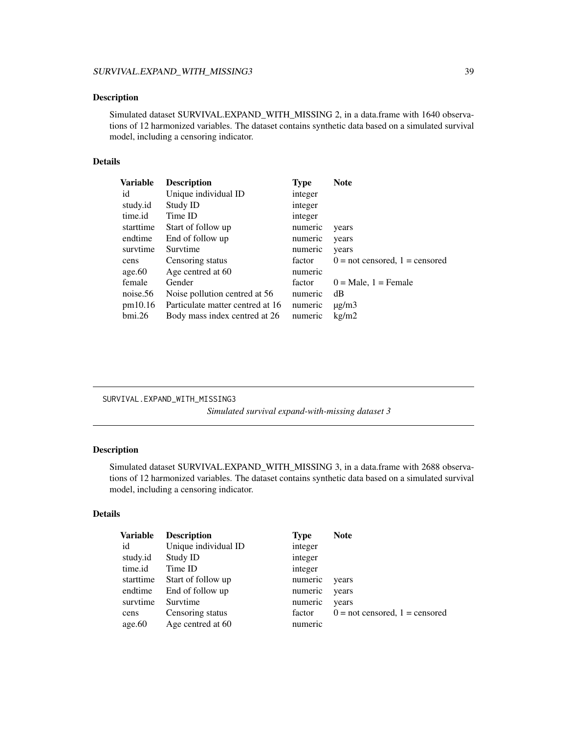#### <span id="page-38-0"></span>Description

Simulated dataset SURVIVAL.EXPAND\_WITH\_MISSING 2, in a data.frame with 1640 observations of 12 harmonized variables. The dataset contains synthetic data based on a simulated survival model, including a censoring indicator.

#### Details

| <b>Variable</b> | <b>Description</b>               | <b>Type</b> | <b>Note</b>                      |
|-----------------|----------------------------------|-------------|----------------------------------|
| id              | Unique individual ID             | integer     |                                  |
| study.id        | Study ID                         | integer     |                                  |
| time.id         | Time ID                          | integer     |                                  |
| starttime       | Start of follow up               | numeric     | years                            |
| endtime         | End of follow up                 | numeric     | years                            |
| survtime        | Survtime                         | numeric     | years                            |
| cens            | Censoring status                 | factor      | $0 = not censored, 1 = censored$ |
| age.60          | Age centred at 60                | numeric     |                                  |
| female          | Gender                           | factor      | $0 = Male$ , $1 = Female$        |
| noise.56        | Noise pollution centred at 56    | numeric     | dB                               |
| pm10.16         | Particulate matter centred at 16 | numeric     | $\mu$ g/m $3$                    |
| bmi.26          | Body mass index centred at 26    | numeric     | kg/m2                            |

SURVIVAL.EXPAND\_WITH\_MISSING3

*Simulated survival expand-with-missing dataset 3*

### Description

Simulated dataset SURVIVAL.EXPAND\_WITH\_MISSING 3, in a data.frame with 2688 observations of 12 harmonized variables. The dataset contains synthetic data based on a simulated survival model, including a censoring indicator.

#### Details

| <b>Variable</b> | <b>Description</b>   | <b>Type</b> | <b>Note</b>                        |
|-----------------|----------------------|-------------|------------------------------------|
| id              | Unique individual ID | integer     |                                    |
| study.id        | Study ID             | integer     |                                    |
| time.id         | Time ID              | integer     |                                    |
| starttime       | Start of follow up   | numeric     | years                              |
| endtime         | End of follow up     | numeric     | years                              |
| survtime        | Survtime             | numeric     | years                              |
| cens            | Censoring status     | factor      | $0 =$ not censored, $1 =$ censored |
| age.60          | Age centred at 60    | numeric     |                                    |
|                 |                      |             |                                    |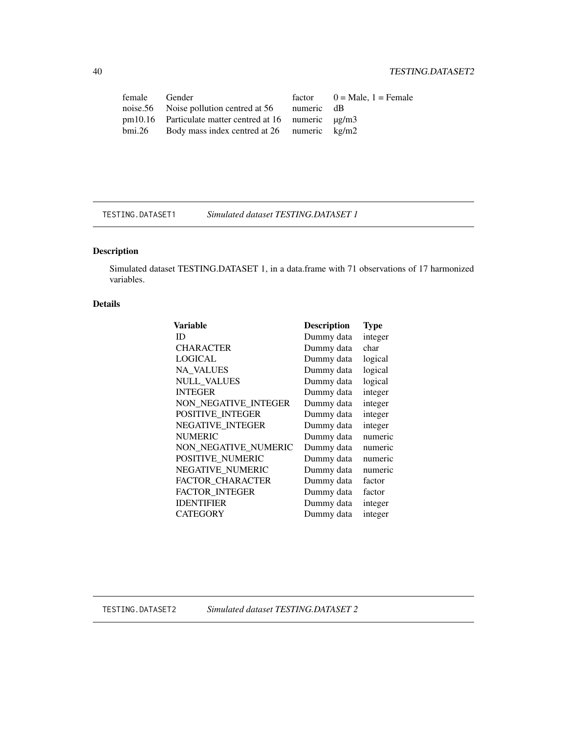<span id="page-39-0"></span>

| female Gender |                                                               | factor $0 = Male$ , $1 = Female$ |
|---------------|---------------------------------------------------------------|----------------------------------|
|               | noise.56 Noise pollution centred at 56 numeric dB             |                                  |
|               | $pm10.16$ Particulate matter centred at 16 numeric $\mu$ g/m3 |                                  |
| bmi.26        | Body mass index centred at 26 numeric kg/m2                   |                                  |

TESTING.DATASET1 *Simulated dataset TESTING.DATASET 1*

## Description

Simulated dataset TESTING.DATASET 1, in a data.frame with 71 observations of 17 harmonized variables.

## Details

| Variable                    | <b>Description</b> | <b>Type</b> |
|-----------------------------|--------------------|-------------|
| <b>ID</b>                   | Dummy data         | integer     |
| <b>CHARACTER</b>            | Dummy data         | char        |
| <b>LOGICAL</b>              | Dummy data         | logical     |
| NA VALUES                   | Dummy data         | logical     |
| <b>NULL VALUES</b>          | Dummy data         | logical     |
| <b>INTEGER</b>              | Dummy data         | integer     |
| <b>NON NEGATIVE INTEGER</b> | Dummy data         | integer     |
| POSITIVE INTEGER            | Dummy data         | integer     |
| <b>NEGATIVE INTEGER</b>     | Dummy data         | integer     |
| <b>NUMERIC</b>              | Dummy data         | numeric     |
| NON NEGATIVE NUMERIC        | Dummy data         | numeric     |
| POSITIVE NUMERIC            | Dummy data         | numeric     |
| <b>NEGATIVE NUMERIC</b>     | Dummy data         | numeric     |
| FACTOR CHARACTER            | Dummy data         | factor      |
| <b>FACTOR INTEGER</b>       | Dummy data         | factor      |
| <b>IDENTIFIER</b>           | Dummy data         | integer     |
| <b>CATEGORY</b>             | Dummy data         | integer     |
|                             |                    |             |

TESTING.DATASET2 *Simulated dataset TESTING.DATASET 2*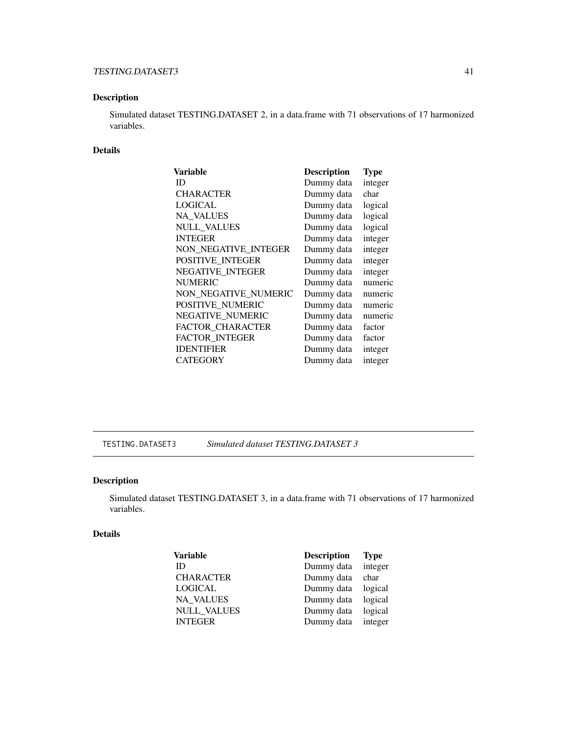## <span id="page-40-0"></span>TESTING.DATASET3 41

## Description

Simulated dataset TESTING.DATASET 2, in a data.frame with 71 observations of 17 harmonized variables.

## Details

| Variable                    | <b>Description</b> | <b>Type</b> |
|-----------------------------|--------------------|-------------|
| <b>ID</b>                   | Dummy data         | integer     |
| <b>CHARACTER</b>            | Dummy data         | char        |
| <b>LOGICAL</b>              | Dummy data         | logical     |
| <b>NA VALUES</b>            | Dummy data         | logical     |
| <b>NULL VALUES</b>          | Dummy data         | logical     |
| <b>INTEGER</b>              | Dummy data         | integer     |
| <b>NON NEGATIVE INTEGER</b> | Dummy data         | integer     |
| POSITIVE INTEGER            | Dummy data         | integer     |
| <b>NEGATIVE INTEGER</b>     | Dummy data         | integer     |
| <b>NUMERIC</b>              | Dummy data         | numeric     |
| NON NEGATIVE NUMERIC        | Dummy data         | numeric     |
| POSITIVE NUMERIC            | Dummy data         | numeric     |
| NEGATIVE NUMERIC            | Dummy data         | numeric     |
| FACTOR_CHARACTER            | Dummy data         | factor      |
| <b>FACTOR INTEGER</b>       | Dummy data         | factor      |
| <b>IDENTIFIER</b>           | Dummy data         | integer     |
| <b>CATEGORY</b>             | Dummy data         | integer     |
|                             |                    |             |

TESTING.DATASET3 *Simulated dataset TESTING.DATASET 3*

## Description

Simulated dataset TESTING.DATASET 3, in a data.frame with 71 observations of 17 harmonized variables.

#### Details

| <b>Description</b> | <b>Type</b> |
|--------------------|-------------|
| Dummy data integer |             |
| Dummy data         | char        |
| Dummy data         | logical     |
| Dummy data logical |             |
| Dummy data         | logical     |
| Dummy data integer |             |
|                    |             |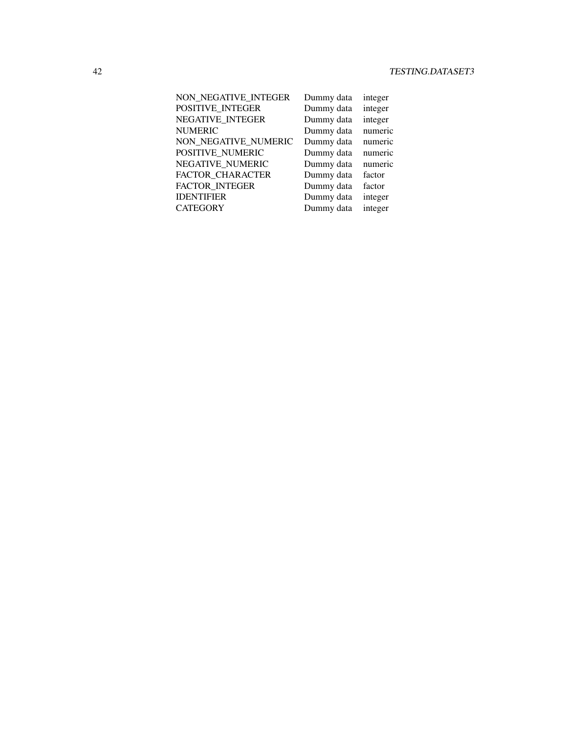| NON NEGATIVE INTEGER    | Dummy data | integer |
|-------------------------|------------|---------|
| POSITIVE INTEGER        | Dummy data | integer |
| <b>NEGATIVE INTEGER</b> | Dummy data | integer |
| <b>NUMERIC</b>          | Dummy data | numeric |
| NON NEGATIVE_NUMERIC    | Dummy data | numeric |
| POSITIVE_NUMERIC        | Dummy data | numeric |
| NEGATIVE_NUMERIC        | Dummy data | numeric |
| FACTOR CHARACTER        | Dummy data | factor  |
| <b>FACTOR INTEGER</b>   | Dummy data | factor  |
| <b>IDENTIFIER</b>       | Dummy data | integer |
| <b>CATEGORY</b>         | Dummy data | integer |
|                         |            |         |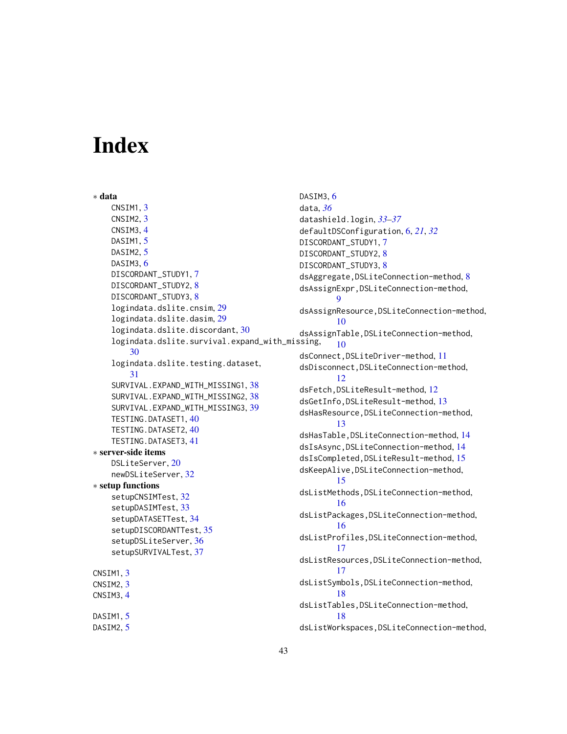# <span id="page-42-0"></span>**Index**

```
∗ data
    CNSIM1, 3
    CNSIM2, 3
    CNSIM3, 4
    DASIM1, 5
    DASIM2, 5
    DASIM3, 6
    DISCORDANT_STUDY1, 7
    DISCORDANT_STUDY2, 8
    DISCORDANT_STUDY3, 8
    29
    logindata.dslite.dasim, 29
    30
    logindata.dslite.survival.expand_with_missing,
        30
    logindata.dslite.testing.dataset,
       31
    SURVIVAL.EXPAND_WITH_MISSING1, 38
    SURVIVAL.EXPAND_WITH_MISSING2, 38
    SURVIVAL.EXPAND_WITH_MISSING3, 39
    TESTING.DATASET1, 40
    TESTING.DATASET2, 40
    TESTING.DATASET3, 41
∗ server-side items
    DSLiteServer, 20
    newDSLiteServer, 32
∗ setup functions
    setupCNSIMTest, 32
    setupDASIMTest, 33
    setupDATASETTest, 34
    setupDISCORDANTTest, 35
    setupDSLiteServer, 36
    setupSURVIVALTest, 37
CNSIM1, 3
CNSIM2, 3
CNSIM3, 4
DASIM1, 5
DASIM2, 5
                                            DASIM3, 6
                                            data, 36
                                            datashield.login, 33–37
                                            defaultDSConfiguration, 6, 21, 32
                                            DISCORDANT_STUDY1, 7
                                            DISCORDANT_STUDY2, 8
                                            DISCORDANT_STUDY3, 8
                                            8
                                            dsAssignExpr,DSLiteConnection-method,
                                                    9
                                            dsAssignResource,DSLiteConnection-method,
                                                    10
                                            dsAssignTable,DSLiteConnection-method,
                                                    10
                                            dsConnect,DSLiteDriver-method, 11
                                            dsDisconnect,DSLiteConnection-method,
                                                    12
                                            12
                                            dsGetInfo,DSLiteResult-method, 13
                                            dsHasResource,DSLiteConnection-method,
                                                    13
                                            dsHasTable,DSLiteConnection-method, 14
                                            dsIsAsync,DSLiteConnection-method, 14
                                            dsIsCompleted,DSLiteResult-method, 15
                                            dsKeepAlive, DSLiteConnection-method,
                                                    15
                                            dsListMethods,DSLiteConnection-method,
                                                    16
                                            dsListPackages,DSLiteConnection-method,
                                                    16
                                            dsListProfiles,DSLiteConnection-method,
                                                    17
                                            dsListResources,DSLiteConnection-method,
                                                    17
                                            dsListSymbols,DSLiteConnection-method,
                                                    18
                                            dsListTables,DSLiteConnection-method,
                                                    18
                                            dsListWorkspaces,DSLiteConnection-method,
```